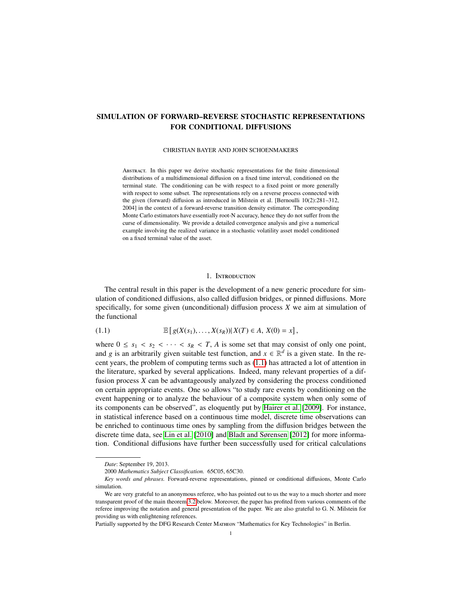# SIMULATION OF FORWARD–REVERSE STOCHASTIC REPRESENTATIONS FOR CONDITIONAL DIFFUSIONS

#### CHRISTIAN BAYER AND JOHN SCHOENMAKERS

Abstract. In this paper we derive stochastic representations for the finite dimensional distributions of a multidimensional diffusion on a fixed time interval, conditioned on the terminal state. The conditioning can be with respect to a fixed point or more generally with respect to some subset. The representations rely on a reverse process connected with the given (forward) diffusion as introduced in Milstein et al. [Bernoulli 10(2):281–312, 2004] in the context of a forward-reverse transition density estimator. The corresponding Monte Carlo estimators have essentially root-N accuracy, hence they do not suffer from the curse of dimensionality. We provide a detailed convergence analysis and give a numerical example involving the realized variance in a stochastic volatility asset model conditioned on a fixed terminal value of the asset.

## <span id="page-0-0"></span>1. Introduction

The central result in this paper is the development of a new generic procedure for simulation of conditioned diffusions, also called diffusion bridges, or pinned diffusions. More specifically, for some given (unconditional) diffusion process *X* we aim at simulation of the functional

(1.1) 
$$
\mathbb{E}\left[g(X(s_1),...,X(s_R))|X(T) \in A, X(0) = x\right],
$$

where  $0 \leq s_1 < s_2 < \cdots < s_R < T$ , *A* is some set that may consist of only one point, and *g* is an arbitrarily given suitable test function, and  $x \in \mathbb{R}^d$  is a given state. In the recent years, the problem of computing terms such as [\(1.1\)](#page-0-0) has attracted a lot of attention in the literature, sparked by several applications. Indeed, many relevant properties of a diffusion process *X* can be advantageously analyzed by considering the process conditioned on certain appropriate events. One so allows "to study rare events by conditioning on the event happening or to analyze the behaviour of a composite system when only some of its components can be observed", as eloquently put by [Hairer et al.](#page-29-0) [\[2009\]](#page-29-0). For instance, in statistical inference based on a continuous time model, discrete time observations can be enriched to continuous time ones by sampling from the diffusion bridges between the discrete time data, see [Lin et al.](#page-29-1) [\[2010\]](#page-29-1) and [Bladt and Sørensen](#page-28-0) [\[2012\]](#page-28-0) for more information. Conditional diffusions have further been successfully used for critical calculations

*Date*: September 19, 2013.

<sup>2000</sup> *Mathematics Subject Classification.* 65C05, 65C30.

*Key words and phrases.* Forward-reverse representations, pinned or conditional diffusions, Monte Carlo simulation.

We are very grateful to an anonymous referee, who has pointed out to us the way to a much shorter and more transparent proof of the main theorem [3.2](#page-6-0) below. Moreover, the paper has profited from various comments of the referee improving the notation and general presentation of the paper. We are also grateful to G. N. Milstein for providing us with enlightening references.

Partially supported by the DFG Research Center MATHEON "Mathematics for Key Technologies" in Berlin.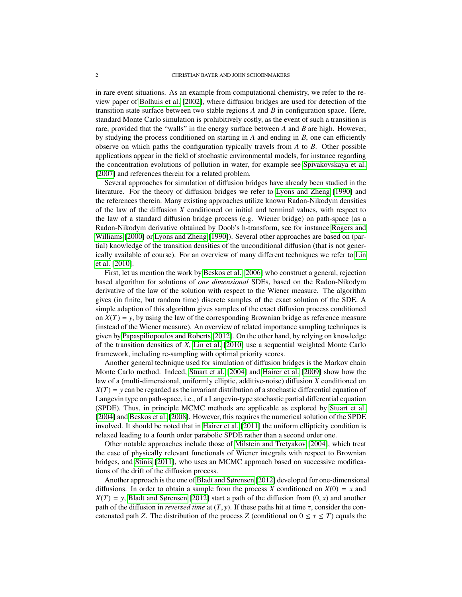in rare event situations. As an example from computational chemistry, we refer to the review paper of [Bolhuis et al.](#page-29-2) [\[2002\]](#page-29-2), where diffusion bridges are used for detection of the transition state surface between two stable regions *A* and *B* in configuration space. Here, standard Monte Carlo simulation is prohibitively costly, as the event of such a transition is rare, provided that the "walls" in the energy surface between *A* and *B* are high. However, by studying the process conditioned on starting in *A* and ending in *B*, one can efficiently observe on which paths the configuration typically travels from *A* to *B*. Other possible applications appear in the field of stochastic environmental models, for instance regarding the concentration evolutions of pollution in water, for example see [Spivakovskaya et al.](#page-29-3) [\[2007\]](#page-29-3) and references therein for a related problem.

Several approaches for simulation of diffusion bridges have already been studied in the literature. For the theory of diffusion bridges we refer to [Lyons and Zheng](#page-29-4) [\[1990\]](#page-29-4) and the references therein. Many existing approaches utilize known Radon-Nikodym densities of the law of the diffusion *X* conditioned on initial and terminal values, with respect to the law of a standard diffusion bridge process (e.g. Wiener bridge) on path-space (as a Radon-Nikodym derivative obtained by Doob's h-transform, see for instance [Rogers and](#page-29-5) [Williams](#page-29-5) [\[2000\]](#page-29-5) or [Lyons and Zheng](#page-29-4) [\[1990\]](#page-29-4)). Several other approaches are based on (partial) knowledge of the transition densities of the unconditional diffusion (that is not generically available of course). For an overview of many different techniques we refer to [Lin](#page-29-1) [et al.](#page-29-1) [\[2010\]](#page-29-1).

First, let us mention the work by [Beskos et al.](#page-28-1) [\[2006\]](#page-28-1) who construct a general, rejection based algorithm for solutions of *one dimensional* SDEs, based on the Radon-Nikodym derivative of the law of the solution with respect to the Wiener measure. The algorithm gives (in finite, but random time) discrete samples of the exact solution of the SDE. A simple adaption of this algorithm gives samples of the exact diffusion process conditioned on  $X(T) = y$ , by using the law of the corresponding Brownian bridge as reference measure (instead of the Wiener measure). An overview of related importance sampling techniques is given by [Papaspiliopoulos and Roberts](#page-29-6) [\[2012\]](#page-29-6). On the other hand, by relying on knowledge of the transition densities of *<sup>X</sup>*, [Lin et al.](#page-29-1) [\[2010\]](#page-29-1) use a sequential weighted Monte Carlo framework, including re-sampling with optimal priority scores.

Another general technique used for simulation of diffusion bridges is the Markov chain Monte Carlo method. Indeed, [Stuart et al.](#page-29-7) [\[2004\]](#page-29-7) and [Hairer et al.](#page-29-0) [\[2009\]](#page-29-0) show how the law of a (multi-dimensional, uniformly elliptic, additive-noise) diffusion *X* conditioned on  $X(T) = y$  can be regarded as the invariant distribution of a stochastic differential equation of Langevin type on path-space, i.e., of a Langevin-type stochastic partial differential equation (SPDE). Thus, in principle MCMC methods are applicable as explored by [Stuart et al.](#page-29-7) [\[2004\]](#page-29-7) and [Beskos et al.](#page-28-2) [\[2008\]](#page-28-2). However, this requires the numerical solution of the SPDE involved. It should be noted that in [Hairer et al.](#page-29-8) [\[2011\]](#page-29-8) the uniform ellipticity condition is relaxed leading to a fourth order parabolic SPDE rather than a second order one.

Other notable approaches include those of [Milstein and Tretyakov](#page-29-9) [\[2004\]](#page-29-9), which treat the case of physically relevant functionals of Wiener integrals with respect to Brownian bridges, and [Stinis](#page-29-10) [\[2011\]](#page-29-10), who uses an MCMC approach based on successive modifications of the drift of the diffusion process.

Another approach is the one of [Bladt and Sørensen](#page-28-0) [\[2012\]](#page-28-0) developed for one-dimensional diffusions. In order to obtain a sample from the process *X* conditioned on  $X(0) = x$  and  $X(T) = y$ , [Bladt and Sørensen](#page-28-0) [\[2012\]](#page-28-0) start a path of the diffusion from  $(0, x)$  and another path of the diffusion in *reversed time* at  $(T, y)$ . If these paths hit at time  $\tau$ , consider the concatenated path *Z*. The distribution of the process *Z* (conditional on  $0 \le \tau \le T$ ) equals the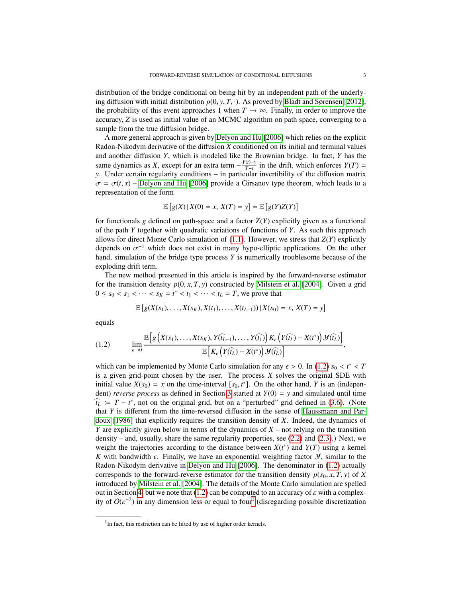distribution of the bridge conditional on being hit by an independent path of the underlying diffusion with initial distribution  $p(0, y, T, \cdot)$ . As proved by [Bladt and Sørensen](#page-28-0) [\[2012\]](#page-28-0), the probability of this event approaches 1 when  $T \to \infty$ . Finally, in order to improve the accuracy, *Z* is used as initial value of an MCMC algorithm on path space, converging to a sample from the true diffusion bridge.

A more general approach is given by [Delyon and Hu](#page-29-11) [\[2006\]](#page-29-11) which relies on the explicit Radon-Nikodym derivative of the diffusion *X* conditioned on its initial and terminal values and another diffusion *Y*, which is modeled like the Brownian bridge. In fact, *Y* has the same dynamics as *X*, except for an extra term  $-\frac{Y(t)-Y(t)}{T-t}$  $\frac{(t)-y}{T-t}$  in the drift, which enforces *Y*(*T*) = *y*. Under certain regularity conditions – in particular invertibility of the diffusion matrix  $\sigma = \sigma(t, x)$  – [Delyon and Hu](#page-29-11) [\[2006\]](#page-29-11) provide a Girsanov type theorem, which leads to a representation of the form

$$
\mathbb{E}\left[g(X)\,|\,X(0)=x,\,X(T)=y\right]=\mathbb{E}\left[g(Y)Z(Y)\right]
$$

for functionals  $g$  defined on path-space and a factor  $Z(Y)$  explicitly given as a functional of the path *Y* together with quadratic variations of functions of *Y*. As such this approach allows for direct Monte Carlo simulation of  $(1.1)$ . However, we stress that  $Z(Y)$  explicitly depends on  $\sigma^{-1}$  which does not exist in many hypo-elliptic applications. On the other<br>hand simulation of the bridge type process Y is numerically troublesome because of the hand, simulation of the bridge type process *Y* is numerically troublesome because of the exploding drift term.

The new method presented in this article is inspired by the forward-reverse estimator for the transition density  $p(0, x, T, y)$  constructed by [Milstein et al.](#page-29-12) [\[2004\]](#page-29-12). Given a grid 0 ≤ *s*<sub>0</sub> < *s*<sub>1</sub> < · · · < *s*<sub>*K*</sub> = *t*<sup>\*</sup> < *t*<sub>1</sub> < · · · < *t*<sub>*L*</sub> = *T*, we prove that

<span id="page-2-0"></span>
$$
\mathbb{E}\left[g(X(s_1),\ldots,X(s_K),X(t_1),\ldots,X(t_{L-1}))\,|\,X(s_0)=x,\,X(T)=y\right]
$$

equals

$$
(1.2) \qquad \lim_{\epsilon \to 0} \frac{\mathbb{E}\left[g\left(X(s_1),\ldots,X(s_K),Y(\widehat{t}_{L-1}),\ldots,Y(\widehat{t}_1)\right)K_{\epsilon}\left(Y(\widehat{t}_L)-X(t^*)\right)\mathcal{Y}(\widehat{t}_L)\right]}{\mathbb{E}\left[K_{\epsilon}\left(Y(\widehat{t}_L)-X(t^*)\right)\mathcal{Y}(\widehat{t}_L)\right]},
$$

which can be implemented by Monte Carlo simulation for any  $\epsilon > 0$ . In [\(1.2\)](#page-2-0)  $s_0 < t^* < T$ <br>is a given grid-point chosen by the user. The process X solves the original SDE with is a given grid-point chosen by the user. The process *X* solves the original SDE with initial value  $X(s_0) = x$  on the time-interval  $[s_0, t^*]$ . On the other hand, *Y* is an (independent) reverse process as defined in Section 3 started at  $Y(0) = y$  and simulated until time dent) *reverse process* as defined in Section [3](#page-5-0) started at *Y*(0) = *y* and simulated until time  $\hat{t}_L := T - t^*$ , not on the original grid, but on a "perturbed" grid defined in [\(3.6\)](#page-6-1). (Note that *Y* is different from the time-reversed diffusion in the sense of [Haussmann and Par](#page-29-13)[doux](#page-29-13) [\[1986\]](#page-29-13) that explicitly requires the transition density of *X*. Indeed, the dynamics of *Y* are explicitly given below in terms of the dynamics of *X* – not relying on the transition density – and, usually, share the same regularity properties, see [\(2.2\)](#page-4-0) and [\(2.3\)](#page-4-1).) Next, we weight the trajectories according to the distance between  $X(t^*)$  and  $Y(T)$  using a kernel *K* with bandwidth  $\epsilon$ . Finally, we have an exponential weighting factor *Y*, similar to the Radon-Nikodym derivative in [Delyon and Hu](#page-29-11) [\[2006\]](#page-29-11). The denominator in [\(1.2\)](#page-2-0) actually corresponds to the forward-reverse estimator for the transition density  $p(s_0, x, T, y)$  of *X* introduced by [Milstein et al.](#page-29-12) [\[2004\]](#page-29-12). The details of the Monte Carlo simulation are spelled out in Section [4,](#page-10-0) but we note that  $(1.2)$  can be computed to an accuracy of  $\varepsilon$  with a complexity of  $O(\varepsilon^{-2})$  in any dimension less or equal to four<sup>[1](#page-2-1)</sup> (disregarding possible discretization

<span id="page-2-1"></span><sup>&</sup>lt;sup>1</sup>In fact, this restriction can be lifted by use of higher order kernels.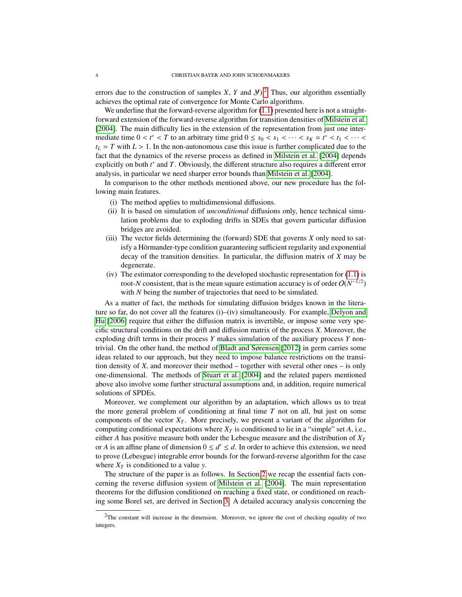errors due to the construction of samples *X*, *Y* and *Y*).<sup>[2](#page-3-0)</sup> Thus, our algorithm essentially achieves the optimal rate of convergence for Monte Carlo algorithms.

We underline that the forward-reverse algorithm for  $(1.1)$  presented here is not a straightforward extension of the forward-reverse algorithm for transition densities of [Milstein et al.](#page-29-12) [\[2004\]](#page-29-12). The main difficulty lies in the extension of the representation from just one intermediate time  $0 < t^* < T$  to an arbitrary time grid  $0 \le s_0 < s_1 < \cdots < s_K = t^* < t_1 < \cdots < t$ ,  $- T$  with  $I > 1$  In the non-autonomous case this issue is further complicated due to the  $t_L = T$  with  $L > 1$ . In the non-autonomous case this issue is further complicated due to the fact that the dynamics of the reverse process as defined in [Milstein et al.](#page-29-12) [\[2004\]](#page-29-12) depends explicitly on both  $t^*$  and  $T$ . Obviously, the different structure also requires a different error analysis, in particular we need sharper error bounds than [Milstein et al.](#page-29-12) [\[2004\]](#page-29-12).

In comparison to the other methods mentioned above, our new procedure has the following main features.

- (i) The method applies to multidimensional diffusions.
- (ii) It is based on simulation of *unconditional* diffusions only, hence technical simulation problems due to exploding drifts in SDEs that govern particular diffusion bridges are avoided.
- (iii) The vector fields determining the (forward) SDE that governs *X* only need to satisfy a Hörmander-type condition guaranteeing sufficient regularity and exponential decay of the transition densities. In particular, the diffusion matrix of *X* may be degenerate.
- $(iv)$  The estimator corresponding to the developed stochastic representation for  $(1.1)$  is root-*N* consistent, that is the mean square estimation accuracy is of order  $O(N^{-1/2})$ with *N* being the number of trajectories that need to be simulated.

As a matter of fact, the methods for simulating diffusion bridges known in the literature so far, do not cover all the features  $(i)$ – $(iv)$  simultaneously. For example, [Delyon and](#page-29-11) [Hu](#page-29-11) [\[2006\]](#page-29-11) require that either the diffusion matrix is invertible, or impose some very specific structural conditions on the drift and diffusion matrix of the process *<sup>X</sup>*. Moreover, the exploding drift terms in their process *Y* makes simulation of the auxiliary process *Y* nontrivial. On the other hand, the method of [Bladt and Sørensen](#page-28-0) [\[2012\]](#page-28-0) in germ carries some ideas related to our approach, but they need to impose balance restrictions on the transition density of *<sup>X</sup>*, and moreover their method – together with several other ones – is only one-dimensional. The methods of [Stuart et al.](#page-29-7) [\[2004\]](#page-29-7) and the related papers mentioned above also involve some further structural assumptions and, in addition, require numerical solutions of SPDEs.

Moreover, we complement our algorithm by an adaptation, which allows us to treat the more general problem of conditioning at final time *T* not on all, but just on some components of the vector  $X_T$ . More precisely, we present a variant of the algorithm for computing conditional expectations where  $X_T$  is conditioned to lie in a "simple" set *A*, i.e., either *A* has positive measure both under the Lebesgue measure and the distribution of  $X_T$ or *A* is an affine plane of dimension  $0 \le d' \le d$ . In order to achieve this extension, we need to prove (Lebesgue) integrable error bounds for the forward-reverse algorithm for the case where  $X_T$  is conditioned to a value *y*.

The structure of the paper is as follows. In Section [2](#page-4-2) we recap the essential facts concerning the reverse diffusion system of [Milstein et al.](#page-29-12) [\[2004\]](#page-29-12). The main representation theorems for the diffusion conditioned on reaching a fixed state, or conditioned on reaching some Borel set, are derived in Section [3.](#page-5-0) A detailed accuracy analysis concerning the

<span id="page-3-0"></span><sup>&</sup>lt;sup>2</sup>The constant will increase in the dimension. Moreover, we ignore the cost of checking equality of two integers.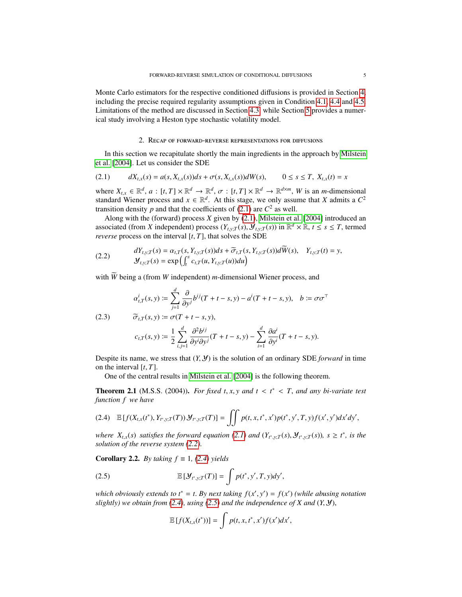Monte Carlo estimators for the respective conditioned diffusions is provided in Section [4,](#page-10-0) including the precise required regularity assumptions given in Condition [4.1,](#page-10-1) [4.4](#page-11-0) and [4.5.](#page-11-1) Limitations of the method are discussed in Section [4.3,](#page-23-0) while Section [5](#page-25-0) provides a numerical study involving a Heston type stochastic volatility model.

### 2. Recap of forward-reverse representations for diffusions

<span id="page-4-2"></span>In this section we recapitulate shortly the main ingredients in the approach by [Milstein](#page-29-12) [et al.](#page-29-12) [\[2004\]](#page-29-12). Let us consider the SDE

<span id="page-4-3"></span>
$$
(2.1) \t dX_{t,x}(s) = a(s, X_{t,x}(s))ds + \sigma(s, X_{t,x}(s))dW(s), \t 0 \le s \le T, X_{t,x}(t) = x
$$

where  $X_{t,x} \in \mathbb{R}^d$ ,  $a : [t, T] \times \mathbb{R}^d \to \mathbb{R}^d$ ,  $\sigma : [t, T] \times \mathbb{R}^d \to \mathbb{R}^{d \times m}$ , *W* is an *m*-dimensional standard Wiener process and  $x \in \mathbb{R}^d$ . At this stage, we only assume that *X* admits a  $C^2$ standard Wiener process and  $x \in \mathbb{R}^d$ . At this stage, we only assume that *X* admits a  $C^2$ transition density  $p$  and that the coefficients of [\(2.1\)](#page-4-3) are  $C^2$  as well.

Along with the (forward) process *X* given by [\(2.1\)](#page-4-3), [Milstein et al.](#page-29-12) [\[2004\]](#page-29-12) introduced an associated (from *X* independent) process  $(Y_{t,y;T}(s), Y_{t,y;T}(s))$  in  $\mathbb{R}^d \times \mathbb{R}, t \leq s \leq T$ , termed reverse process on the interval *It T*<sub>1</sub> that solves the SDE *reverse* process on the interval  $[t, T]$ , that solves the SDE

<span id="page-4-0"></span>(2.2) 
$$
dY_{t,y;T}(s) = \alpha_{t,T}(s, Y_{t,y;T}(s))ds + \widetilde{\sigma}_{t,T}(s, Y_{t,y;T}(s))dW(s), \quad Y_{t,y;T}(t) = y,
$$
  

$$
Y_{t,y;T}(s) = \exp\left(\int_t^s c_{t,T}(u, Y_{t,y;T}(u))du\right)
$$

with  $\widetilde{W}$  being a (from *W* independent) *m*-dimensional Wiener process, and

<span id="page-4-1"></span>(2.3) 
$$
\alpha_{t,T}^i(s, y) \coloneqq \sum_{j=1}^d \frac{\partial}{\partial y^j} b^{ij} (T + t - s, y) - a^i (T + t - s, y), \quad b \coloneqq \sigma \sigma^\top
$$

$$
\widetilde{\sigma}_{t,T}(s, y) \coloneqq \sigma (T + t - s, y),
$$

$$
c_{t,T}(s,y) := \frac{1}{2} \sum_{i,j=1}^d \frac{\partial^2 b^{ij}}{\partial y^i \partial y^j} (T+t-s,y) - \sum_{i=1}^d \frac{\partial a^i}{\partial y^i} (T+t-s,y).
$$

Despite its name, we stress that  $(Y, Y)$  is the solution of an ordinary SDE *forward* in time on the interval [*t*, *<sup>T</sup>*].

One of the central results in [Milstein et al.](#page-29-12) [\[2004\]](#page-29-12) is the following theorem.

<span id="page-4-6"></span>**Theorem 2.1** (M.S.S. (2004)). *For fixed t*, *x*, *y* and  $t < t^* < T$ , and any bi-variate test function f we have *function f we have*

<span id="page-4-4"></span>
$$
(2.4) \quad \mathbb{E}\left[f(X_{t,x}(t^*),Y_{t^*,y;T}(T))\mathcal{Y}_{t^*,y;T}(T)\right]=\iint p(t,x,t^*,x')p(t^*,y',T,y)f(x',y')dx'dy',
$$

where  $X_{t,x}(s)$  satisfies the forward equation [\(2.1\)](#page-4-3) and  $(Y_{t^*,y;T}(s), \mathcal{Y}_{t^*,y;T}(s))$ ,  $s \ge t^*$ , is the solution of the reverse system (2.2) *solution of the reverse system [\(2.2\)](#page-4-0).*

**Corollary 2.2.** *By taking*  $f \equiv 1$ , [\(2.4\)](#page-4-4) *yields* 

(2.5) 
$$
\mathbb{E}\left[\mathcal{Y}_{t^*,y;T}(T)\right] = \int p(t^*,y',T,y)dy',
$$

*which obviously extends to*  $t^* = t$ . *By next taking*  $f(x', y') = f(x')$  *(while abusing notation slightly) we obtain from* (2.4), *using* (2.5) and the independence of *X* and (*X N*). *slightly) we obtain from [\(2.4\)](#page-4-4), using [\(2.5\)](#page-4-5) and the independence of X and* (*Y*, <sup>Y</sup>),

<span id="page-4-5"></span>
$$
\mathbb{E}\left[f(X_{t,x}(t^*))\right] = \int p(t,x,t^*,x')f(x')dx',
$$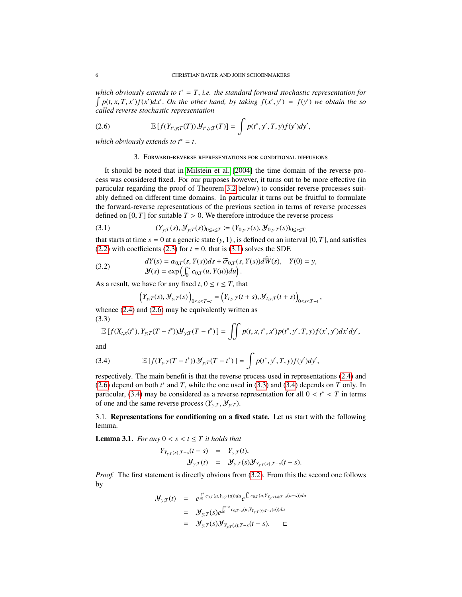*which obviously extends to t*<sup>∗</sup> <sup>=</sup> *<sup>T</sup>*, *i.e. the standard forward stochastic representation for*  $\int p(t, x, T, x') f(x') dx'$ . On the other hand, by taking  $f(x', y') = f(y')$  we obtain the so called reverse stochastic representation *called reverse stochastic representation*

(2.6) 
$$
\mathbb{E}\left[f(Y_{t^*,y;T}(T))\mathcal{Y}_{t^*,y;T}(T)\right] = \int p(t^*,y',T,y)f(y')dy',
$$

<span id="page-5-0"></span>*which obviously extends to t*<sup>∗</sup> <sup>=</sup> *<sup>t</sup>*.

### <span id="page-5-2"></span>3. Forward-reverse representations for conditional diffusions

It should be noted that in [Milstein et al.](#page-29-12) [\[2004\]](#page-29-12) the time domain of the reverse process was considered fixed. For our purposes however, it turns out to be more effective (in particular regarding the proof of Theorem [3.2](#page-6-0) below) to consider reverse processes suitably defined on different time domains. In particular it turns out be fruitful to formulate the forward-reverse representations of the previous section in terms of reverse processes defined on  $[0, T]$  for suitable  $T > 0$ . We therefore introduce the reverse process

<span id="page-5-1"></span>(3.1) 
$$
(Y_{y,T}(s), \mathcal{Y}_{y,T}(s))_{0 \leq s \leq T} := (Y_{0,y,T}(s), \mathcal{Y}_{0,y,T}(s))_{0 \leq s \leq T}
$$

that starts at time  $s = 0$  at a generic state  $(y, 1)$ , is defined on an interval [0, *T*], and satisfies [\(2.2\)](#page-4-0) with coefficients [\(2.3\)](#page-4-1) for  $t = 0$ , that is [\(3.1\)](#page-5-1) solves the SDE

(3.2) 
$$
dY(s) = \alpha_{0,T}(s, Y(s))ds + \widetilde{\sigma}_{0,T}(s, Y(s))dW(s), \quad Y(0) = y,
$$

$$
\mathcal{Y}(s) = \exp\left(\int_0^s c_{0,T}(u, Y(u))du\right).
$$

As a result, we have for any fixed  $t$ ,  $0 \le t \le T$ , that

<span id="page-5-5"></span>
$$
(Y_{y;T}(s), \mathcal{Y}_{y;T}(s))_{0 \leq s \leq T-t} = (Y_{t,y;T}(t+s), \mathcal{Y}_{t,y;T}(t+s))_{0 \leq s \leq T-t},
$$

whence  $(2.4)$  and  $(2.6)$  may be equivalently written as (3.3)

<span id="page-5-3"></span>
$$
\mathbb{E}\left[f(X_{t,x}(t^*),Y_{y,T}(T-t^*))\mathcal{Y}_{y,T}(T-t^*)\right] = \iint p(t,x,t^*,x')p(t^*,y',T,y)f(x',y')dx'dy',
$$

and

<span id="page-5-4"></span>(3.4) 
$$
\mathbb{E}\left[f(Y_{y;T}(T-t^*))\mathcal{Y}_{y;T}(T-t^*)\right] = \int p(t^*,y',T,y)f(y')dy',
$$

respectively. The main benefit is that the reverse process used in representations [\(2.4\)](#page-4-4) and [\(2.6\)](#page-5-2) depend on both  $t^*$  and *T*, while the one used in [\(3.3\)](#page-5-3) and [\(3.4\)](#page-5-4) depends on *T* only. In particular (3.4) may be considered as a reverse representation for all  $0 \lt t^* \lt T$  in terms particular, [\(3.4\)](#page-5-4) may be considered as a reverse representation for all  $0 < t^* < T$  in terms of one and the same reverse process  $(Y - Y)^n$ of one and the same reverse process  $(Y_{y:T}, \mathcal{Y}_{y:T})$ .

3.1. Representations for conditioning on a fixed state. Let us start with the following lemma.

**Lemma 3.1.** *For any*  $0 < s < t \leq T$  *it holds that* 

$$
Y_{Y_{y:T}(s);T-s}(t-s) = Y_{y:T}(t), \n\mathcal{Y}_{y:T}(t) = \mathcal{Y}_{y:T}(s)\mathcal{Y}_{Y_{y:T}(s);T-s}(t-s).
$$

*Proof.* The first statement is directly obvious from [\(3.2\)](#page-5-5). From this the second one follows by

$$
\mathcal{Y}_{y;T}(t) = e^{\int_0^s c_{0,T}(u,Y_{y;T}(u))du} e^{\int_s^t c_{0,T}(u,Y_{y;T(s);T-s}(u-s))du}
$$
\n
$$
= \mathcal{Y}_{y;T}(s) e^{\int_0^{t-s} c_{0,T-s}(u,Y_{y;T(s);T-s}(u))du}
$$
\n
$$
= \mathcal{Y}_{y;T}(s) \mathcal{Y}_{Y_{y;T}(s);T-s}(t-s). \square
$$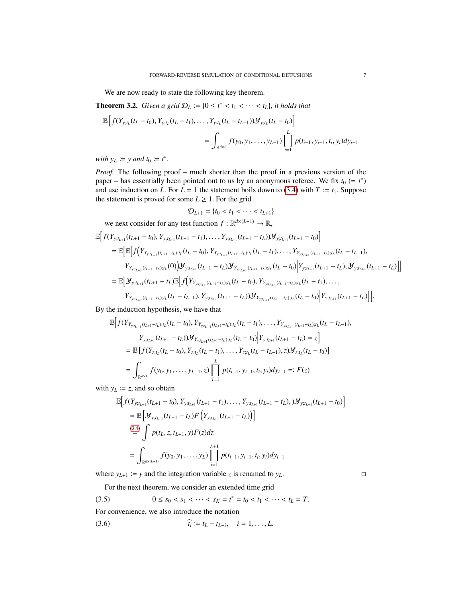We are now ready to state the following key theorem.

<span id="page-6-0"></span>**Theorem 3.2.** *Given a grid*  $D_L := \{0 \le t^* < t_1 < \cdots < t_L\}$ , *it holds that* 

$$
\mathbb{E}\left[f(Y_{y;t_L}(t_L-t_0), Y_{y;t_L}(t_L-t_1), \dots, Y_{y;t_L}(t_L-t_{L-1}))\mathcal{Y}_{y;t_L}(t_L-t_0)\right]
$$
\n
$$
= \int_{\mathbb{R}^{d \times L}} f(y_0, y_1, \dots, y_{L-1}) \prod_{i=1}^{L} p(t_{i-1}, y_{i-1}, t_i, y_i) dy_{i-1}
$$

*with*  $y_L \coloneqq y$  *and*  $t_0 \coloneqq t^*$ 

*Proof.* The following proof – much shorter than the proof in a previous version of the paper – has essentially been pointed out to us by an anonymous referee. We fix  $t_0$  (=  $t^*$ ) and use induction on *L*. For  $L = 1$  the statement boils down to [\(3.4\)](#page-5-4) with  $T := t_1$ . Suppose the statement is proved for some  $L \geq 1$ . For the grid

$$
\mathcal{D}_{L+1} = \{ t_0 < t_1 < \dots < t_{L+1} \}
$$

we next consider for any test function 
$$
f : \mathbb{R}^{d \times (L+1)} \to \mathbb{R}
$$
,  
\n
$$
\mathbb{E}\Big[f(Y_{y;t_{L+1}}(t_{L+1}-t_0), Y_{y;t_{L+1}}(t_{L+1}-t_1), \dots, Y_{y;t_{L+1}}(t_{L+1}-t_L))\mathcal{Y}_{y;t_{L+1}}(t_{L+1}-t_0)\Big]
$$
\n
$$
= \mathbb{E}\Big[\mathbb{E}\Big[f(Y_{Y_{y;t_{L+1}}(t_{L+1}-t_L);t_L}(t_L-t_0), Y_{Y_{y;t_{L+1}}(t_{L+1}-t_L);t_L}(t_L-t_1), \dots, Y_{Y_{y;t_{L+1}}(t_{L+1}-t_L);t_L}(t_L-t_{L-1}),
$$
\n
$$
Y_{Y_{y;t_{L+1}}(t_{L+1}-t_L);t_L}(0)\Big)\mathcal{Y}_{y;t_{L+1}}(t_{L+1}-t_L)\mathcal{Y}_{Y_{y;t_{L+1}}(t_{L+1}-t_L);t_L}(t_L-t_0)\Big|Y_{y;t_{L+1}}(t_{L+1}-t_L), \mathcal{Y}_{y;t_{L+1}}(t_{L+1}-t_L)\Big]\Big]
$$
\n
$$
= \mathbb{E}\Big[\mathcal{Y}_{y;t_{L+1}}(t_{L+1}-t_L)\mathbb{E}\Big[f(Y_{Y_{y;t_{L+1}}(t_{L+1}-t_L);t_L}(t_L-t_0), Y_{Y_{y;t_{L+1}}(t_{L+1}-t_L);t_L}(t_L-t_1), \dots, Y_{Y_{y;t_{L+1}}(t_{L+1}-t_L);t_L}(t_L-t_{L-1}), Y_{y;t_{L+1}}(t_{L+1}-t_L)\Big)\Big].
$$

By the induction hypothesis, we have that

$$
\mathbb{E}\Big[f(Y_{Y_{y;t_{L+1}}(t_{L+1}-t_L);t_L}(t_L-t_0),Y_{Y_{y;t_{L+1}}(t_{L+1}-t_L);t_L}(t_L-t_1),\ldots,Y_{Y_{y;t_{L+1}}(t_{L+1}-t_L);t_L}(t_L-t_{L-1}),\nY_{y;t_{L+1}}(t_{L+1}-t_L))\mathcal{Y}_{Y_{y;t_{L+1}}(t_{L+1}-t_L);t_L}(t_L-t_0)\Big|Y_{y;t_{L+1}}(t_{L+1}-t_L)=z\Big]
$$
\n
$$
=\mathbb{E}\Big[f(Y_{z;t_L}(t_L-t_0),Y_{z;t_L}(t_L-t_1),\ldots,Y_{z;t_L}(t_L-t_{L-1}),z)\mathcal{Y}_{z;t_L}(t_L-t_0)\Big]
$$
\n
$$
=\int_{\mathbb{R}^{d\times L}}f(y_0,y_1,\ldots,y_{L-1},z)\prod_{i=1}^Lp(t_{i-1},y_{i-1},t_i,y_i)dy_{i-1}=:F(z)
$$

with  $y_L \coloneqq z$ , and so obtain

$$
\mathbb{E}\Big[f(Y_{y;t_{L+1}}(t_{L+1}-t_0), Y_{y;t_{L+1}}(t_{L+1}-t_1), \dots, Y_{y;t_{L+1}}(t_{L+1}-t_L), \mathcal{Y}_{y;t_{L+1}}(t_{L+1}-t_0)\Big]
$$
\n
$$
= \mathbb{E}\Big[\mathcal{Y}_{y;t_{L+1}}(t_{L+1}-t_L)F\Big(Y_{y;t_{L+1}}(t_{L+1}-t_L)\Big)\Big]
$$
\n
$$
\stackrel{(3.4)}{=} \int p(t_L, z, t_{L+1}, y)F(z)dz
$$
\n
$$
= \int_{\mathbb{R}^{d\times (L+1)}} f(y_0, y_1, \dots, y_L) \prod_{i=1}^{L+1} p(t_{i-1}, y_{i-1}, t_i, y_i)dy_{i-1}
$$

where  $y_{L+1} := y$  and the integration variable *z* is renamed to  $y_L$ .

<span id="page-6-2"></span><span id="page-6-1"></span>For the next theorem, we consider an extended time grid

$$
(3.5) \t 0 \leq s_0 < s_1 < \cdots < s_K = t^* = t_0 < t_1 < \cdots < t_L = T.
$$

For convenience, we also introduce the notation

(3.6) 
$$
\widehat{t_i} := t_L - t_{L-i}, \quad i = 1, ..., L.
$$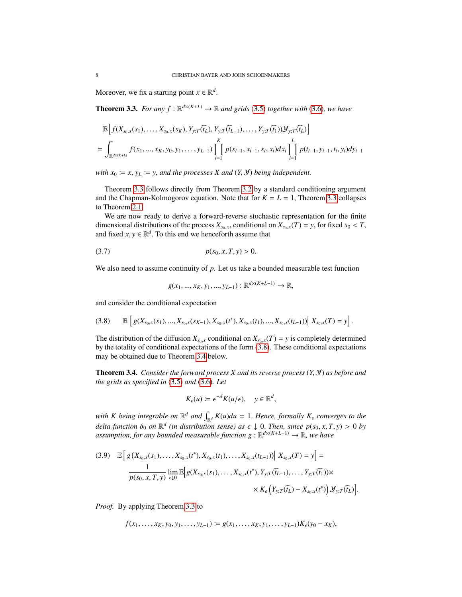Moreover, we fix a starting point  $x \in \mathbb{R}^d$ .

<span id="page-7-0"></span>**Theorem 3.3.** *For any*  $f : \mathbb{R}^{d \times (K+L)} \to \mathbb{R}$  *and grids* [\(3.5\)](#page-6-2) *together with* [\(3.6\)](#page-6-1)*, we have* 

$$
\mathbb{E}\Big[f(X_{s_0,x}(s_1),\ldots,X_{s_0,x}(s_K),Y_{y;T}(\widehat{t_L}),Y_{y;T}(\widehat{t_{L-1}}),\ldots,Y_{y;T}(\widehat{t_1}))\mathcal{Y}_{y;T}(\widehat{t_L})\Big]
$$
\n
$$
=\int_{\mathbb{R}^{d\times(K+L)}}f(x_1,\ldots,x_K,y_0,y_1,\ldots,y_{L-1})\prod_{i=1}^K p(s_{i-1},x_{i-1},s_i,x_i)dx_i\prod_{i=1}^L p(t_{i-1},y_{i-1},t_i,y_i)dy_{i-1}
$$

*with*  $x_0 := x$ ,  $y_L := y$ , *and the processes X and*  $(Y, Y)$  *being independent.* 

Theorem [3.3](#page-7-0) follows directly from Theorem [3.2](#page-6-0) by a standard conditioning argument and the Chapman-Kolmogorov equation. Note that for  $K = L = 1$ , Theorem [3.3](#page-7-0) collapses to Theorem [2.1.](#page-4-6)

We are now ready to derive a forward-reverse stochastic representation for the finite dimensional distributions of the process  $X_{s_0,x}$ , conditional on  $X_{s_0,x}(T) = y$ , for fixed  $s_0 < T$ , and fixed  $x, y \in \mathbb{R}^d$ . To this end we henceforth assume that

(3.7) 
$$
p(s_0, x, T, y) > 0.
$$

We also need to assume continuity of p. Let us take a bounded measurable test function

<span id="page-7-4"></span>
$$
g(x_1, ..., x_K, y_1, ..., y_{L-1}): \mathbb{R}^{d \times (K+L-1)} \to \mathbb{R},
$$

and consider the conditional expectation

<span id="page-7-1"></span>
$$
(3.8) \qquad \mathbb{E}\left[g(X_{s_0,x}(s_1),...,X_{s_0,x}(s_{K-1}),X_{s_0,x}(t^*),X_{s_0,x}(t_1),...,X_{s_0,x}(t_{L-1}))\Big|\;X_{s_0,x}(T)=y\right].
$$

The distribution of the diffusion  $X_{s_0,x}$  conditional on  $X_{s_0,x}(T) = y$  is completely determined by the totality of conditional expectations of the form [\(3.8\)](#page-7-1). These conditional expectations may be obtained due to Theorem [3.4](#page-7-2) below.

<span id="page-7-2"></span>Theorem 3.4. *Consider the forward process X and its reverse process* (*Y*, <sup>Y</sup>) *as before and the grids as specified in* [\(3.5\)](#page-6-2) *and* [\(3.6\)](#page-6-1)*. Let*

$$
K_{\epsilon}(u) \coloneqq \epsilon^{-d} K(u/\epsilon), \quad y \in \mathbb{R}^d,
$$

with *K* being integrable on  $\mathbb{R}^d$  and  $\int_{\mathbb{R}^d} K(u) du = 1$ . Hence, formally  $K_{\epsilon}$  converges to the delta function  $\delta$ , an  $\mathbb{R}^d$  *(in distribution gauge)* as  $\epsilon \downarrow 0$ . Then, since  $p(a, u, T, u) > 0$  by *delta function*  $\delta_0$  *on*  $\mathbb{R}^d$  (in distribution sense) as  $\epsilon \downarrow 0$ . Then, since  $p(s_0, x, T, y) > 0$  by assumption for any hounded measurable function  $g \cdot \mathbb{R}^{d \times (K+L-1)} \rightarrow \mathbb{R}$  we have *assumption, for any bounded measurable function g* : R *<sup>d</sup>*×(*K*+*L*−1) → R*, we have*

<span id="page-7-3"></span>
$$
(3.9) \mathbb{E}\Big[g\big(X_{s_0,x}(s_1),\ldots,X_{s_0,x}(t^*),X_{s_0,x}(t_1),\ldots,X_{s_0,x}(t_{L-1})\big)\Big|\;X_{s_0,x}(T)=y\Big]=\frac{1}{p(s_0,x,T,y)}\lim_{\epsilon\downarrow 0}\mathbb{E}\Big[g(X_{s_0,x}(s_1),\ldots,X_{s_0,x}(t^*),Y_{y,T}(\widehat{t}_{L-1}),\ldots,Y_{y,T}(\widehat{t}_1))\times\\qquad \qquad \times K_{\epsilon}\Big(Y_{y,T}(\widehat{t}_L)-X_{s_0,x}(t^*)\Big)\mathcal{Y}_{y,T}(\widehat{t}_L)\Big].
$$

*Proof.* By applying Theorem [3.3](#page-7-0) to

$$
f(x_1,\ldots,x_K,y_0,y_1,\ldots,y_{L-1})\coloneqq g(x_1,\ldots,x_K,y_1,\ldots,y_{L-1})K_{\epsilon}(y_0-x_K),
$$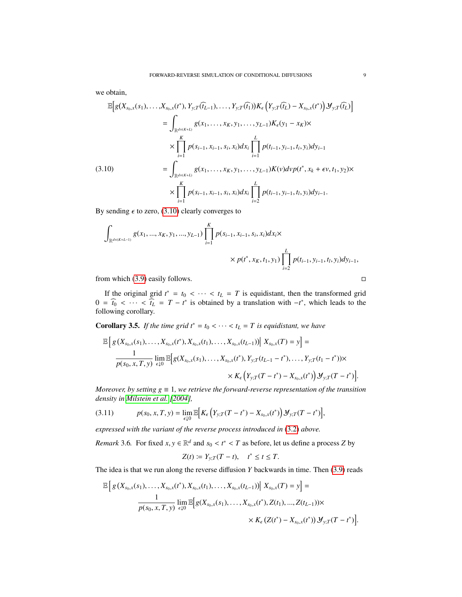we obtain,

$$
\mathbb{E}\Big[g(X_{s_0,x}(s_1),\ldots,X_{s_0,x}(t^*),Y_{y;T}(\widehat{t_{L-1}}),\ldots,Y_{y;T}(\widehat{t_1}))K_{\epsilon}\Big(Y_{y;T}(\widehat{t_{L}})-X_{s_0,x}(t^*)\Big) \mathcal{Y}_{y;T}(\widehat{t_{L}})\Big]
$$
\n
$$
=\int_{\mathbb{R}^{d\times(K+L)}} g(x_1,\ldots,x_K,y_1,\ldots,y_{L-1})K_{\epsilon}(y_1-x_K)\times
$$
\n
$$
\times \prod_{i=1}^K p(s_{i-1},x_{i-1},s_i,x_i)dx_i \prod_{i=1}^L p(t_{i-1},y_{i-1},t_i,y_i)dy_{i-1}
$$
\n(3.10)\n
$$
=\int_{\mathbb{R}^{d\times(K+L)}} g(x_1,\ldots,x_K,y_1,\ldots,y_{L-1})K(\nu) d\nu p(t^*,x_k+\epsilon \nu,t_1,y_2)\times
$$
\n
$$
\times \prod_{i=1}^K p(s_{i-1},x_{i-1},s_i,x_i)dx_i \prod_{i=2}^L p(t_{i-1},y_{i-1},t_i,y_i)dy_{i-1}.
$$

<span id="page-8-0"></span>By sending  $\epsilon$  to zero, [\(3.10\)](#page-8-0) clearly converges to

$$
\int_{\mathbb{R}^{d \times (K+L-1)}} g(x_1, ..., x_K, y_1, ..., y_{L-1}) \prod_{i=1}^K p(s_{i-1}, x_{i-1}, s_i, x_i) dx_i \times
$$
\n
$$
\times p(t^*, x_K, t_1, y_1) \prod_{i=2}^L p(t_{i-1}, y_{i-1}, t_i, y_i) dy_{i-1},
$$

from which [\(3.9\)](#page-7-3) easily follows.  $\square$ 

If the original grid  $t^* = t_0 < \cdots < t_L = T$  is equidistant, then the transformed grid  $\overline{t}$   $\overline{t}$   $\overline{t}$   $\overline{t}$   $\overline{t}$   $\overline{t}$   $\overline{t}$   $\overline{t}$   $\overline{t}$   $\overline{t}$   $\overline{t}$   $\overline{t}$   $\overline{t}$   $\overline{t}$   $\overline{t}$   $\overline$  $0 = \hat{t}_0 < \cdots < \hat{t}_L = T - t^*$  is obtained by a translation with  $-t^*$ , which leads to the following corollary following corollary.

**Corollary 3.5.** *If the time grid t<sup>\*</sup> =*  $t_0$  *< · · · <*  $t_L$  *= T is equidistant, we have* 

$$
\mathbb{E}\Big[g\left(X_{s_0,x}(s_1),\ldots,X_{s_0,x}(t^*),X_{s_0,x}(t_1),\ldots,X_{s_0,x}(t_{L-1})\right)\Big|\,X_{s_0,x}(T)=y\Big]=\frac{1}{p(s_0,x,T,y)}\lim_{\epsilon\downarrow 0}\mathbb{E}\Big[g(X_{s_0,x}(s_1),\ldots,X_{s_0,x}(t^*),Y_{y;T}(t_{L-1}-t^*),\ldots,Y_{y;T}(t_1-t^*))\times\\qquad \qquad \times K_{\epsilon}\left(Y_{y;T}(T-t^*)-X_{s_0,x}(t^*)\right)\mathcal{Y}_{y;T}(T-t^*)\Big]
$$

*Moreover, by setting*  $g \equiv 1$ *, we retrieve the forward-reverse representation of the transition density in [Milstein et al.](#page-29-12) [\[2004\]](#page-29-12),*

$$
(3.11) \t p(s_0, x, T, y) = \lim_{\epsilon \downarrow 0} \mathbb{E} \Big[ K_{\epsilon} \Big( Y_{y;T} (T - t^*) - X_{s_0, x}(t^*) \Big) \mathcal{Y}_{y;T} (T - t^*) \Big],
$$

*expressed with the variant of the reverse process introduced in* [\(3.2\)](#page-5-5) *above.*

*Remark* 3.6*.* For fixed  $x, y \in \mathbb{R}^d$  and  $s_0 < t^* < T$  as before, let us define a process *Z* by

$$
Z(t) \coloneqq Y_{y,T}(T-t), \quad t^* \le t \le T.
$$

The idea is that we run along the reverse diffusion *Y* backwards in time. Then [\(3.9\)](#page-7-3) reads

$$
\mathbb{E}\left[g\left(X_{s_0,x}(s_1),\ldots,X_{s_0,x}(t^*),X_{s_0,x}(t_1),\ldots,X_{s_0,x}(t_{L-1})\right)\middle| \right. X_{s_0,x}(T) = y\right] = \frac{1}{p(s_0,x,T,y)}\lim_{\epsilon\downarrow 0} \mathbb{E}\left[g(X_{s_0,x}(s_1),\ldots,X_{s_0,x}(t^*),Z(t_1),\ldots,Z(t_{L-1}))\times K_{\epsilon}\left(Z(t^*)-X_{s_0,x}(t^*)\right)\mathcal{Y}_{y;T}(T-t^*)\right].
$$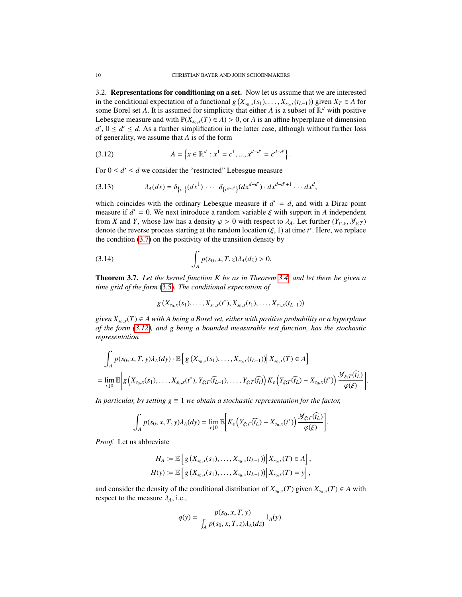3.2. Representations for conditioning on a set. Now let us assume that we are interested in the conditional expectation of a functional *g*( $X_{s_0,x}(s_1), \ldots, X_{s_0,x}(t_{L-1})$ ) given  $X_T$  ∈ *A* for some Borel set *A*. It is assumed for simplicity that either *A* is a subset of  $\mathbb{R}^d$  with positive some Borel set *A*. It is assumed for simplicity that either *A* is a subset of  $\mathbb{R}^d$  with positive *I* ebesaue measure and with  $\mathbb{P}(X \mid (T) \in A) > 0$  or *A* is an affine hyperplane of dimension Lebesgue measure and with  $\mathbb{P}(X_{s_0,x}(T) \in A) > 0$ , or *A* is an affine hyperplane of dimension  $d'$ ,  $0 \le d' \le d$ . As a further simplification in the latter case, although without further loss of generality we assume that A is of the form of generality, we assume that *A* is of the form

<span id="page-9-0"></span>(3.12) 
$$
A = \left\{ x \in \mathbb{R}^d : x^1 = c^1, ..., x^{d-d'} = c^{d-d'} \right\}.
$$

For  $0 \le d' \le d$  we consider the "restricted" Lebesgue measure

<span id="page-9-2"></span>
$$
(3.13) \qquad \lambda_A(dx) = \delta_{\{c^1\}}(dx^1) \cdots \delta_{\{c^{d-d'}\}}(dx^{d-d'}) \cdot dx^{d-d'+1} \cdots dx^d,
$$

which coincides with the ordinary Lebesgue measure if  $d' = d$ , and with a Dirac point<br>measure if  $d' = 0$ . We next introduce a random variable  $\xi$  with support in 4 independent measure if  $d' = 0$ . We next introduce a random variable  $\xi$  with support in *A* independent<br>from *X* and *Y* whose law has a density  $a > 0$  with respect to  $\lambda$ . Let further  $(Y_{\lambda}, Y_{\lambda}, \mathbf{y})$ from *X* and *Y*, whose law has a density  $\varphi > 0$  with respect to  $\lambda_A$ . Let further  $(Y_{t^*,\xi}, \mathcal{Y}_{\xi;T})$  denote the reverse process starting at the random location  $(\xi, 1)$  at time  $t^*$ . Here we replace denote the reverse process starting at the random location  $(\xi, 1)$  at time  $t^*$ . Here, we replace the condition (3.7) on the positivity of the transition density by the condition  $(3.7)$  on the positivity of the transition density by

(3.14) 
$$
\int_A p(s_0, x, T, z) \lambda_A(dz) > 0.
$$

<span id="page-9-3"></span>Theorem 3.7. *Let the kernel function K be as in Theorem [3.4,](#page-7-2) and let there be given a time grid of the form* [\(3.5\)](#page-6-2)*. The conditional expectation of*

<span id="page-9-1"></span>
$$
g(X_{s_0,x}(s_1),\ldots,X_{s_0,x}(t^*),X_{s_0,x}(t_1),\ldots,X_{s_0,x}(t_{L-1}))
$$

*given*  $X_{s_0,x}(T) \in A$  *with* A being a Borel set, either with positive probability or a hyperplane *of the form [\(3.12\)](#page-9-0), and g being a bounded measurable test function, has the stochastic representation*

$$
\int_{A} p(s_{0}, x, T, y) \lambda_{A}(dy) \cdot \mathbb{E}\Big[g\big(X_{s_{0}, x}(s_{1}), \ldots, X_{s_{0}, x}(t_{L-1})\big) \Big| \, X_{s_{0}, x}(T) \in A\Big] \n= \lim_{\epsilon \downarrow 0} \mathbb{E}\Big[g\big(X_{s_{0}, x}(s_{1}), \ldots, X_{s_{0}, x}(t^{*}), Y_{\xi; T}(\widehat{t_{L-1}}), \ldots, Y_{\xi; T}(\widehat{t_{i}})\big) \, K_{\epsilon}\big(Y_{\xi; T}(\widehat{t_{L}}) - X_{s_{0}, x}(t^{*})\big) \frac{\mathcal{Y}_{\xi; T}(\widehat{t_{L}})}{\varphi(\xi)}\Big].
$$

*In particular, by setting*  $g \equiv 1$  *we obtain a stochastic representation for the factor,* 

$$
\int_A p(s_0, x, T, y) \lambda_A(dy) = \lim_{\epsilon \downarrow 0} \mathbb{E} \bigg[ K_{\epsilon} \big( Y_{\xi;T}(\widehat{t_L}) - X_{s_0,x}(t^*) \big) \frac{\mathcal{Y}_{\xi;T}(\widehat{t_L})}{\varphi(\xi)} \bigg].
$$

*Proof.* Let us abbreviate

$$
H_A := \mathbb{E}\left[g\left(X_{s_0,x}(s_1),\ldots,X_{s_0,x}(t_{L-1})\right)\middle|X_{s_0,x}(T)\in A\right],
$$
  

$$
H(y) := \mathbb{E}\left[g\left(X_{s_0,x}(s_1),\ldots,X_{s_0,x}(t_{L-1})\right)\middle|X_{s_0,x}(T)=y\right],
$$

and consider the density of the conditional distribution of  $X_{s_0,x}(T)$  given  $X_{s_0,x}(T) \in A$  with respect to the measure  $\lambda_A$ , i.e.,

$$
q(y) = \frac{p(s_0, x, T, y)}{\int_A p(s_0, x, T, z) \lambda_A(dz)} 1_A(y).
$$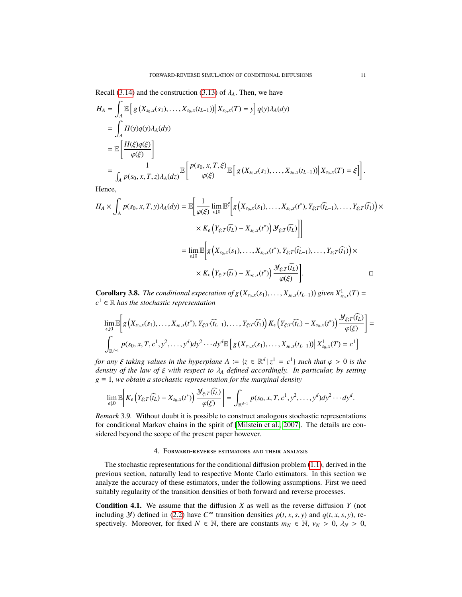Recall [\(3.14\)](#page-9-1) and the construction [\(3.13\)](#page-9-2) of  $\lambda_A$ . Then, we have

$$
H_A = \int_A \mathbb{E}\left[g\left(X_{s_0,x}(s_1),\ldots,X_{s_0,x}(t_{L-1})\right)\middle|X_{s_0,x}(T)=y\right]q(y)\lambda_A(dy)
$$
  
\n
$$
= \int_A H(y)q(y)\lambda_A(dy)
$$
  
\n
$$
= \mathbb{E}\left[\frac{H(\xi)q(\xi)}{\varphi(\xi)}\right]
$$
  
\n
$$
= \frac{1}{\int_A p(s_0,x,T,z)\lambda_A(dz)} \mathbb{E}\left[\frac{p(s_0,x,T,\xi)}{\varphi(\xi)}\mathbb{E}\left[g\left(X_{s_0,x}(s_1),\ldots,X_{s_0,x}(t_{L-1})\right)\middle|X_{s_0,x}(T)=\xi\right]\right]
$$

Hence,

$$
H_A \times \int_A p(s_0, x, T, y) \lambda_A(dy) = \mathbb{E} \bigg[ \frac{1}{\varphi(\xi)} \lim_{\epsilon \downarrow 0} \mathbb{E}^{\xi} \bigg[ g\left(X_{s_0, x}(s_1), \dots, X_{s_0, x}(t^*), Y_{\xi;T}(\widehat{t_{L-1}}), \dots, Y_{\xi;T}(\widehat{t_1})\right) \times
$$
  
 
$$
\times K_{\epsilon} \left(Y_{\xi;T}(\widehat{t_L}) - X_{s_0, x}(t^*)\right) \mathcal{Y}_{\xi;T}(\widehat{t_L}) \bigg]
$$
  
= 
$$
\lim_{\epsilon \downarrow 0} \mathbb{E} \bigg[ g\left(X_{s_0, x}(s_1), \dots, X_{s_0, x}(t^*)\right) \mathcal{Y}_{\xi;T}(\widehat{t_{L-1}}), \dots, Y_{\xi;T}(\widehat{t_1}) \bigg) \times
$$
  

$$
\times K_{\epsilon} \left(Y_{\xi;T}(\widehat{t_L}) - X_{s_0, x}(t^*)\right) \frac{\mathcal{Y}_{\xi;T}(\widehat{t_L})}{\varphi(\xi)} \bigg].
$$

<span id="page-10-2"></span>**Corollary 3.8.** *The conditional expectation of g*  $(X_{s_0,x}(s_1),...,X_{s_0,x}(t_{L-1}))$  given  $X^1_{s_0,x}(T) =$ <br> $S^1 \subseteq \mathbb{R}$  has the stachastic nonvegentation  $c^1 \in \mathbb{R}$  *has the stochastic representation* 

$$
\lim_{\epsilon \downarrow 0} \mathbb{E} \bigg[ g\left( X_{s_0,x}(s_1), \ldots, X_{s_0,x}(t^*), Y_{\xi;T}(\widehat{t_{L-1}}), \ldots, Y_{\xi;T}(\widehat{t_1}) \right) K_{\epsilon} \left( Y_{\xi;T}(\widehat{t_L}) - X_{s_0,x}(t^*) \right) \frac{\mathcal{Y}_{\xi;T}(\widehat{t_L})}{\varphi(\xi)} \bigg] = \\ \int_{\mathbb{R}^{d-1}} p(s_0, x, T, c^1, y^2, \ldots, y^d) dy^2 \cdots dy^d \mathbb{E} \bigg[ g\left( X_{s_0,x}(s_1), \ldots, X_{s_0,x}(t_{L-1}) \right) \bigg| X^1_{s_0,x}(T) = c^1 \bigg]
$$

*for any*  $\xi$  *taking values in the hyperplane*  $A := \{z \in \mathbb{R}^d \mid z^1 = c^1\}$  *such that*  $\varphi > 0$  *is the*<br>*density of the law of*  $\xi$  *with respect to*  $\lambda$ *, defined accordingly in particular by setting density of the law of* <sup>ξ</sup> *with respect to* <sup>λ</sup>*<sup>A</sup> defined accordingly. In particular, by setting*  $g \equiv 1$ , we obtain a stochastic representation for the marginal density

$$
\lim_{\epsilon \downarrow 0} \mathbb{E} \bigg[ K_{\epsilon} \big( Y_{\xi;T}(\widehat{t_L}) - X_{s_0,x}(t^*) \big) \frac{\mathcal{Y}_{\xi;T}(\widehat{t_L})}{\varphi(\xi)} \bigg] = \int_{\mathbb{R}^{d-1}} p(s_0,x,T,c^1,y^2,\ldots,y^d) dy^2 \cdots dy^d.
$$

*Remark* 3.9*.* Without doubt it is possible to construct analogous stochastic representations for conditional Markov chains in the spirit of [\[Milstein et al., 2007\]](#page-29-14). The details are considered beyond the scope of the present paper however.

### 4. Forward-reverse estimators and their analysis

<span id="page-10-0"></span>The stochastic representations for the conditional diffusion problem [\(1.1\)](#page-0-0), derived in the previous section, naturally lead to respective Monte Carlo estimators. In this section we analyze the accuracy of these estimators, under the following assumptions. First we need suitably regularity of the transition densities of both forward and reverse processes.

<span id="page-10-1"></span>Condition 4.1. We assume that the diffusion *X* as well as the reverse diffusion *Y* (not including *Y*) defined in [\(2.2\)](#page-4-0) have  $C^{\infty}$  transition densities  $p(t, x, s, y)$  and  $q(t, x, s, y)$ , respectively. Moreover, for fixed  $N \in \mathbb{N}$ , there are constants  $m_N \in \mathbb{N}$ ,  $v_N > 0$ ,  $\lambda_N > 0$ ,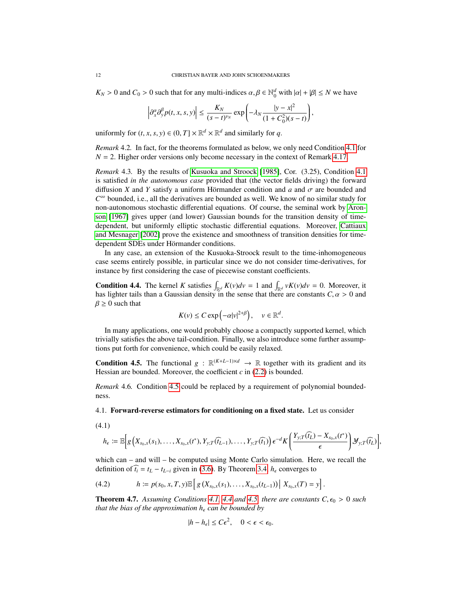*K*<sub>*N*</sub> > 0 and *C*<sub>0</sub> > 0 such that for any multi-indices  $\alpha, \beta \in \mathbb{N}_0^d$  with  $|\alpha| + |\beta| \le N$  we have

$$
\left|\partial_x^{\alpha}\partial_y^{\beta}p(t,x,s,y)\right|\leq \frac{K_N}{(s-t)^{\nu_N}}\exp\left(-\lambda_N\frac{|y-x|^2}{(1+C_0^2)(s-t)}\right),
$$

uniformly for  $(t, x, s, y) \in (0, T] \times \mathbb{R}^d \times \mathbb{R}^d$  and similarly for *q*.

*Remark* 4.2*.* In fact, for the theorems formulated as below, we only need Condition [4.1](#page-10-1) for  $N = 2$ . Higher order versions only become necessary in the context of Remark [4.17.](#page-19-0)

*Remark* 4.3*.* By the results of [Kusuoka and Stroock](#page-29-15) [\[1985\]](#page-29-15), Cor. (3.25), Condition [4.1](#page-10-1) is satisfied *in the autonomous case* provided that (the vector fields driving) the forward diffusion *X* and *Y* satisfy a uniform Hörmander condition and  $a$  and  $\sigma$  are bounded and *C* <sup>∞</sup> bounded, i.e., all the derivatives are bounded as well. We know of no similar study for non-autonomous stochastic differential equations. Of course, the seminal work by [Aron](#page-28-3)[son](#page-28-3) [\[1967\]](#page-28-3) gives upper (and lower) Gaussian bounds for the transition density of timedependent, but uniformly elliptic stochastic differential equations. Moreover, [Cattiaux](#page-29-16) [and Mesnager](#page-29-16) [\[2002\]](#page-29-16) prove the existence and smoothness of transition densities for timedependent SDEs under Hörmander conditions.

In any case, an extension of the Kusuoka-Stroock result to the time-inhomogeneous case seems entirely possible, in particular since we do not consider time-derivatives, for instance by first considering the case of piecewise constant coefficients.

<span id="page-11-0"></span>**Condition 4.4.** The kernel *K* satisfies  $\int_{\mathbb{R}^d} K(v) dv = 1$  and  $\int_{\mathbb{R}^d} vK(v) dv = 0$ . Moreover, it has lighter tails than a Gaussian density in the sense that there are constants  $C, \alpha > 0$  and  $\beta \geq 0$  such that

$$
K(v) \leq C \exp\left(-\alpha |v|^{2+\beta}\right), \quad v \in \mathbb{R}^d.
$$

In many applications, one would probably choose a compactly supported kernel, which trivially satisfies the above tail-condition. Finally, we also introduce some further assumptions put forth for convenience, which could be easily relaxed.

<span id="page-11-1"></span>**Condition 4.5.** The functional  $g : \mathbb{R}^{(K+L-1)\times d} \to \mathbb{R}$  together with its gradient and its Hessian are bounded. Moreover, the coefficient  $c$  in  $(2.2)$  is bounded.

*Remark* 4.6*.* Condition [4.5](#page-11-1) could be replaced by a requirement of polynomial boundedness.

# <span id="page-11-5"></span>4.1. Forward-reverse estimators for conditioning on a fixed state. Let us consider

<span id="page-11-2"></span>
$$
(4.1)
$$

$$
h_{\epsilon} := \mathbb{E}\Big[g\Big(X_{s_0,x}(s_1),\ldots,X_{s_0,x}(t^*),Y_{y;T}(\widehat{t_{L-1}}),\ldots,Y_{y;T}(\widehat{t_1})\Big)\epsilon^{-d}K\bigg(\frac{Y_{y;T}(\widehat{t_L})-X_{s_0,x}(t^*)}{\epsilon}\bigg)\mathcal{Y}_{y;T}(\widehat{t_L})\bigg],
$$

which can – and will – be computed using Monte Carlo simulation. Here, we recall the definition of  $\hat{t}_i = t_L - t_{L-i}$  given in [\(3.6\)](#page-6-1). By Theorem [3.4,](#page-7-2)  $h_\epsilon$  converges to

<span id="page-11-4"></span>(4.2) 
$$
h := p(s_0, x, T, y) \mathbb{E} \left[ g\left( X_{s_0, x}(s_1), \ldots, X_{s_0, x}(t_{L-1}) \right) \middle| X_{s_0, x}(T) = y \right].
$$

<span id="page-11-3"></span>**Theorem 4.7.** Assuming Conditions [4.1,](#page-10-1) [4.4](#page-11-0) and [4.5,](#page-11-1) there are constants  $C, \epsilon_0 > 0$  such *that the bias of the approximation*  $h_{\epsilon}$  *can be bounded by* 

$$
|h - h_{\epsilon}| \le C\epsilon^2, \quad 0 < \epsilon < \epsilon_0.
$$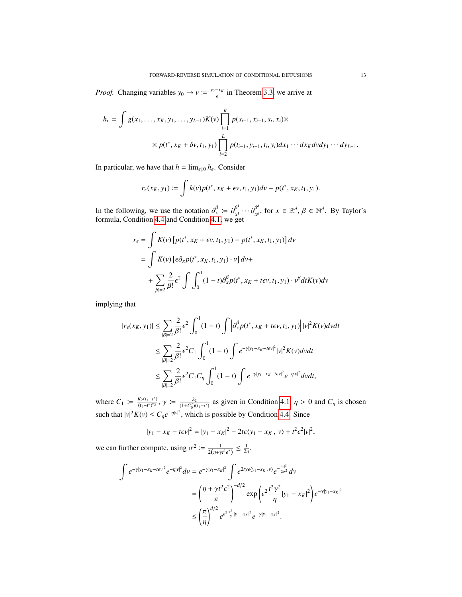*Proof.* Changing variables  $y_0 \rightarrow v := \frac{y_0 - x_k}{\epsilon}$  $\frac{-x_K}{\epsilon}$  in Theorem [3.3,](#page-7-0) we arrive at

$$
h_{\epsilon} = \int g(x_1, \dots, x_K, y_1, \dots, y_{L-1}) K(v) \prod_{i=1}^K p(s_{i-1}, x_{i-1}, s_i, x_i) \times
$$
  
 
$$
\times p(t^*, x_K + \delta v, t_1, y_1) \prod_{i=2}^L p(t_{i-1}, y_{i-1}, t_i, y_i) dx_1 \cdots dx_K dv dy_1 \cdots dy_{L-1}.
$$

In particular, we have that  $h = \lim_{\epsilon \downarrow 0} h_{\epsilon}$ . Consider

$$
r_{\epsilon}(x_K, y_1) := \int k(v) p(t^*, x_K + \epsilon v, t_1, y_1) dv - p(t^*, x_K, t_1, y_1).
$$

In the following, we use the notation  $\partial_x^{\beta} = \partial_{x^1}^{\beta^1}$ <br>formula Condition 4.4 and Condition 4.1, we go  $\frac{\beta^1}{x^1} \cdots \frac{\beta^{d^d}}{\alpha^{d^d}}$  $\beta^d$ , for  $x \in \mathbb{R}^d$ ,  $\beta \in \mathbb{N}^d$ . By Taylor's formula, Condition [4.4](#page-11-0) and Condition [4.1,](#page-10-1) we get

$$
r_{\epsilon} = \int K(v) \left[ p(t^*, x_K + \epsilon v, t_1, y_1) - p(t^*, x_K, t_1, y_1) \right] dv
$$
  
= 
$$
\int K(v) \left[ \epsilon \partial_x p(t^*, x_K, t_1, y_1) \cdot v \right] dv +
$$
  
+ 
$$
\sum_{|\beta|=2} \frac{2}{\beta!} \epsilon^2 \int \int_0^1 (1-t) \partial_x^{\beta} p(t^*, x_K + t\epsilon v, t_1, y_1) \cdot v^{\beta} dt K(v) dv
$$

implying that

$$
|r_{\epsilon}(x_K, y_1)| \leq \sum_{|\beta|=2} \frac{2}{\beta!} \epsilon^2 \int_0^1 (1-t) \int \left| \partial_x^{\beta} p(t^*, x_K + t\epsilon v, t_1, y_1) \right| |v|^2 K(v) dv dt
$$
  

$$
\leq \sum_{|\beta|=2} \frac{2}{\beta!} \epsilon^2 C_1 \int_0^1 (1-t) \int e^{-\gamma |y_1 - x_K - t\epsilon v|^2} |v|^2 K(v) dv dt
$$
  

$$
\leq \sum_{|\beta|=2} \frac{2}{\beta!} \epsilon^2 C_1 C_\eta \int_0^1 (1-t) \int e^{-\gamma |y_1 - x_K - t\epsilon v|^2} e^{-\eta |v|^2} dv dt,
$$

where  $C_1 \coloneqq \frac{K_2(t_1 - t^*)}{(t_1 - t^*)^2}$ ,  $\gamma \coloneqq \frac{\lambda_2}{(1 + C_0^2)(t_1 - t^*)}$  as given in Condition [4.1,](#page-10-1)  $\eta > 0$  and  $C_\eta$  is chosen such that  $|v|^2 K(v) \le C_\eta e^{-\eta |v|^2}$ , which is possible by Condition [4.4.](#page-11-0) Since

$$
|y_1 - x_K - t\epsilon v|^2 = |y_1 - x_K|^2 - 2t\epsilon \langle y_1 - x_K, v \rangle + t^2 \epsilon^2 |v|^2,
$$

we can further compute, using  $\sigma^2 := \frac{1}{2(\eta + \gamma t^2 \epsilon^2)} \le \frac{1}{2\eta}$ ,

$$
\int e^{-\gamma |y_1 - x_K - t\epsilon v|^2} e^{-\eta |v|^2} dv = e^{-\gamma |y_1 - x_K|^2} \int e^{2t\gamma \epsilon \langle y_1 - x_K, v \rangle} e^{-\frac{|v|^2}{2\sigma^2}} dv
$$
  

$$
= \left(\frac{\eta + \gamma t^2 \epsilon^2}{\pi}\right)^{-d/2} \exp\left(\epsilon^2 \frac{t^2 \gamma^2}{\eta} |y_1 - x_K|^2\right) e^{-\gamma |y_1 - x_K|^2}
$$
  

$$
\leq \left(\frac{\pi}{\eta}\right)^{d/2} e^{\epsilon^2 \frac{\gamma^2}{\eta} |y_1 - x_K|^2} e^{-\gamma |y_1 - x_K|^2}.
$$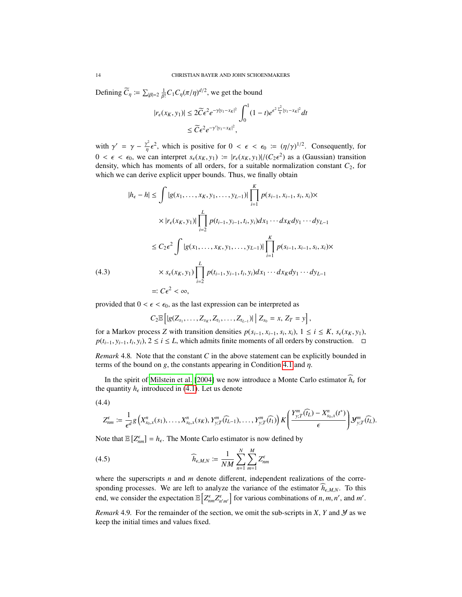Defining  $\widetilde{C}_\eta := \sum_{|\beta|=2} \frac{1}{\beta!} C_1 C_\eta(\pi/\eta)^{d/2}$ , we get the bound

$$
|r_{\epsilon}(x_K, y_1)| \le 2\widetilde{C}\epsilon^2 e^{-\gamma|y_1 - x_K|^2} \int_0^1 (1 - t)e^{\epsilon^2 \frac{y^2}{\eta}|y_1 - x_K|^2} dt
$$
  

$$
\le \widetilde{C}\epsilon^2 e^{-\gamma'|y_1 - x_K|^2},
$$

with  $\gamma' = \gamma - \frac{\gamma^2}{\eta} \epsilon^2$ , which is positive for  $0 < \epsilon < \epsilon_0 := (\eta/\gamma)^{1/2}$ . Consequently, for  $0 < \epsilon < \epsilon_0$ , we can interpret  $s_{\epsilon}(x_K, y_1) := |r_{\epsilon}(x_K, y_1)|/(C_2\epsilon^2)$  as a (Gaussian) transition<br>density which has moments of all orders for a suitable normalization constant  $C_2$  for density, which has moments of all orders, for a suitable normalization constant  $C_2$ , for which we can derive explicit upper bounds. Thus, we finally obtain

$$
|h_{\epsilon} - h| \leq \int |g(x_1, \dots, x_K, y_1, \dots, y_{L-1})| \prod_{i=1}^K p(s_{i-1}, x_{i-1}, s_i, x_i) \times
$$
  

$$
\times |r_{\epsilon}(x_K, y_1)| \prod_{i=2}^L p(t_{i-1}, y_{i-1}, t_i, y_i) dx_1 \cdots dx_K dy_1 \cdots dy_{L-1}
$$
  

$$
\leq C_2 \epsilon^2 \int |g(x_1, \dots, x_K, y_1, \dots, y_{L-1})| \prod_{i=1}^K p(s_{i-1}, x_{i-1}, s_i, x_i) \times
$$
  

$$
\times s_{\epsilon}(x_K, y_1) \prod_{i=2}^L p(t_{i-1}, y_{i-1}, t_i, y_i) dx_1 \cdots dx_K dy_1 \cdots dy_{L-1}
$$
  

$$
=: C \epsilon^2 < \infty,
$$

<span id="page-13-2"></span>provided that  $0 < \epsilon < \epsilon_0$ , as the last expression can be interpreted as

$$
C_2 \mathbb{E} \left[ |g(Z_{s_1}, \ldots, Z_{s_K}, Z_{t_1}, \ldots, Z_{t_{L-1}})| \, \Big| \, Z_{s_0} = x, \, Z_T = y \right],
$$

for a Markov process *Z* with transition densities  $p(s_{i-1}, x_{i-1}, s_i, x_i)$ , 1 ≤ *i* ≤ *K*,  $s_\epsilon(x_K, y_1)$ ,  $p(t_{i-1}, y_{i-1}, t_{i}, y_i)$ , 2 < *i* ≤ *I* which admits finite moments of all orders by construction *p*( $t_{i-1}, y_{i-1}, t_i, y_i$ ), 2 ≤ *i* ≤ *L*, which admits finite moments of all orders by construction.  $\Box$ 

*Remark* 4.8*.* Note that the constant *C* in the above statement can be explicitly bounded in terms of the bound on *g*, the constants appearing in Condition [4.1](#page-10-1) and  $\eta$ .

In the spirit of [Milstein et al.](#page-29-12) [\[2004\]](#page-29-12) we now introduce a Monte Carlo estimator  $\hat{h}_{\epsilon}$  for the quantity  $h_{\epsilon}$  introduced in [\(4.1\)](#page-11-2). Let us denote

<span id="page-13-0"></span>
$$
(4.4)
$$

$$
Z_{nm}^{\epsilon} \coloneqq \frac{1}{\epsilon^d} g\left(X_{s_0,x}^n(s_1),\ldots,X_{s_0,x}^n(s_K),Y_{y,T}^m(\widehat{t_{L-1}}),\ldots,Y_{y,T}^m(\widehat{t_1})\right) K\left(\frac{Y_{y,T}^m(\widehat{t_L})-X_{s_0,x}^n(t^*)}{\epsilon}\right) \mathcal{Y}_{y,T}^m(\widehat{t_L}).
$$

Note that  $\mathbb{E}\left[Z_{nm}^{\epsilon}\right] = h_{\epsilon}$ . The Monte Carlo estimator is now defined by

<span id="page-13-1"></span>
$$
\widehat{h}_{\epsilon,M,N} := \frac{1}{NM} \sum_{n=1}^{N} \sum_{m=1}^{M} Z_{nm}^{\epsilon}
$$

where the superscripts *n* and *m* denote different, independent realizations of the corresponding processes. We are left to analyze the variance of the estimator  $h_{\epsilon, M, N}$ . To this end, we consider the expectation  $\mathbb{E}\left[Z_{nm}^{\epsilon}Z_{n'm'}^{\epsilon}\right]$  for various combinations of *n*, *m*, *n'*, and *m'*.

*Remark* 4.9. For the remainder of the section, we omit the sub-scripts in *X*, *Y* and *Y* as we keep the initial times and values fixed.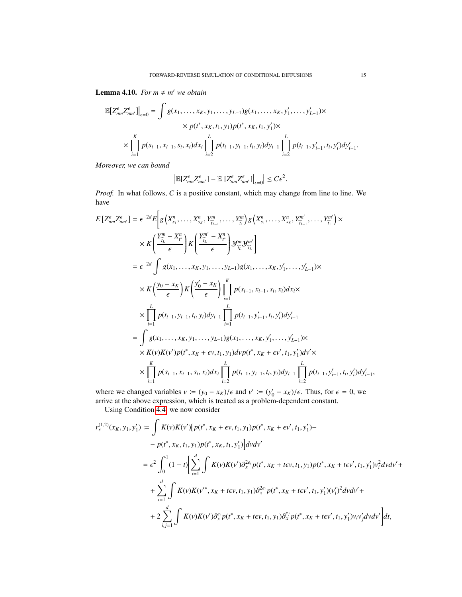<span id="page-14-0"></span>**Lemma 4.10.** *For*  $m \neq m'$  *we obtain* 

$$
\mathbb{E}\big[Z_{nm}^{\epsilon}Z_{nm'}^{\epsilon}\big]\big|_{\epsilon=0} = \int g(x_1,\ldots,x_K,y_1,\ldots,y_{L-1})g(x_1,\ldots,x_K,y'_1,\ldots,y'_{L-1}) \times
$$
  
 
$$
\times p(t^*,x_K,t_1,y_1)p(t^*,x_K,t_1,y'_1) \times
$$
  
 
$$
\times \prod_{i=1}^K p(s_{i-1},x_{i-1},s_i,x_i)dx_i \prod_{i=2}^L p(t_{i-1},y_{i-1},t_i,y_i)dy_{i-1} \prod_{i=2}^L p(t_{i-1},y'_{i-1},t_i,y'_i)dy'_{i-1}.
$$

*Moreover, we can bound*

$$
\left|\mathbb{E}[Z_{nm}^{\epsilon}Z_{nm'}^{\epsilon}] - \mathbb{E}\left[Z_{nm}^{\epsilon}Z_{nm'}^{\epsilon}\right]\right|_{\epsilon=0}\right| \leq C\epsilon^2.
$$

*Proof.* In what follows, *C* is a positive constant, which may change from line to line. We have

$$
E\left[Z_{nm}^{\epsilon}Z_{nm'}^{\epsilon}\right] = \epsilon^{-2d}E\left[g\left(X_{s_{1}}^{n},\ldots,X_{s_{K}}^{n},Y_{\widehat{i_{L-1}}}^{m},\ldots,Y_{\widehat{i_{1}}}^{m}\right)g\left(X_{s_{1}}^{n},\ldots,X_{s_{K}}^{n},Y_{\widehat{i_{L-1}}}^{m'},\ldots,Y_{\widehat{i_{1}}}^{m'}\right)\times \times K\left(\frac{Y_{\widehat{i_{L}}}^{m}-X_{\widehat{i_{L}}}^{n}}{\epsilon}\right)K\left(\frac{Y_{\widehat{i_{L}}}^{m'}-X_{\widehat{i_{L}}}^{n}}{\epsilon}\right)Y_{\widehat{i_{L}}}^{m}Y_{\widehat{i_{L}}}^{m'}\right]
$$
\n
$$
= \epsilon^{-2d}\int g(x_{1},\ldots,x_{K},y_{1},\ldots,y_{L-1})g(x_{1},\ldots,x_{K},y'_{1},\ldots,y'_{L-1})\times \times K\left(\frac{y_{0}-x_{K}}{\epsilon}\right)K\left(\frac{y'_{0}-x_{K}}{\epsilon}\right)\prod_{i=1}^{K}p(s_{i-1},x_{i-1},s_{i},x_{i})dx_{i}\times \times \prod_{i=1}^{L}p(t_{i-1},y_{i-1},t_{i},y_{i})dy_{i-1}\prod_{i=1}^{L}p(t_{i-1},y'_{i-1},t_{i},y'_{i})dy'_{i-1}
$$
\n
$$
= \int g(x_{1},\ldots,x_{K},y_{1},\ldots,y_{L-1})g(x_{1},\ldots,x_{K},y'_{1},\ldots,y'_{L-1})\times \times K(v)K(v')p(t^{*},x_{K}+\epsilon v,t_{1},y_{1})dv p(t^{*},x_{K}+\epsilon v',t_{1},y'_{1})dv' \times \times \prod_{i=1}^{K}p(s_{i-1},x_{i-1},s_{i},x_{i})dx_{i}\prod_{i=2}^{L}p(t_{i-1},y_{i-1},t_{i},y_{i})dy_{i-1}\prod_{i=2}^{L}p(t_{i-1},y'_{i-1},t_{i},y'_{i})dy'_{i-1},
$$

where we changed variables  $v := (y_0 - x_K)/\epsilon$  and  $v' := (y'_0 - x_K)/\epsilon$ . Thus, for  $\epsilon = 0$ , we arrive at the above expression, which is treated as a problem-dependent constant.

Using Condition [4.4,](#page-11-0) we now consider

$$
r_{\epsilon}^{(1,2)}(x_K, y_1, y_1') := \int K(v)K(v')[p(t^*, x_K + \epsilon v, t_1, y_1)p(t^*, x_K + \epsilon v', t_1, y_1') -
$$
  
\n
$$
- p(t^*, x_K, t_1, y_1)p(t^*, x_K, t_1, y_1') dvdv'
$$
  
\n
$$
= \epsilon^2 \int_0^1 (1-t) \Big[ \sum_{i=1}^d \int K(v)K(v') \partial_x^{2\epsilon_i} p(t^*, x_K + t\epsilon v, t_1, y_1)p(t^*, x_K + t\epsilon v', t_1, y_1')v_i^2 dvdv' +
$$
  
\n
$$
+ \sum_{i=1}^d \int K(v)K(v'^*, x_K + t\epsilon v, t_1, y_1) \partial_x^{2\epsilon_i} p(t^*, x_K + t\epsilon v', t_1, y_1') (v_i')^2 dvdv' +
$$
  
\n
$$
+ 2 \sum_{i,j=1}^d \int K(v)K(v') \partial_x^{\epsilon_i} p(t^*, x_K + t\epsilon v, t_1, y_1) \partial_x^{\epsilon_j} p(t^*, x_K + t\epsilon v', t_1, y_1') v_i v_j' dvdv' \Big] dt,
$$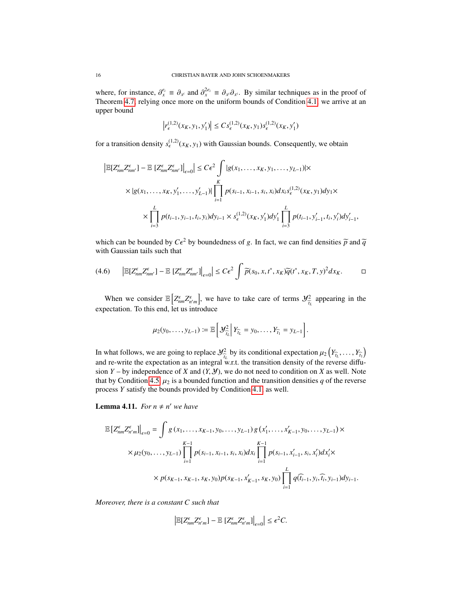where, for instance,  $\partial_{x_i}^{\epsilon_i} \equiv \partial_{x_i}$  and  $\partial_{x_i}^{2\epsilon_i} \equiv \partial_{x_i} \partial_{x_i}$ . By similar techniques as in the proof of Theorem *A* 7 relying once more on the uniform bounds of Condition *A* 1, we arrive at an where, for instance,  $\sigma_x \equiv \sigma_{x'}$  and  $\sigma_x \equiv \sigma_{x'} \sigma_{x'}$ . By similar techniques as in the proof of Theorem [4.7,](#page-11-3) relying once more on the uniform bounds of Condition [4.1,](#page-10-1) we arrive at an upper bound

$$
\left| r_{\epsilon}^{(1,2)}(x_K, y_1, y_1') \right| \leq C s_{\epsilon}^{(1,2)}(x_K, y_1) s_{\epsilon}^{(1,2)}(x_K, y_1')
$$

for a transition density  $s_{\epsilon}^{(1,2)}(x_K, y_1)$  with Gaussian bounds. Consequently, we obtain

$$
\left| \mathbb{E}[Z_{nm}^{\epsilon} Z_{nm'}^{\epsilon}] - \mathbb{E}\left[Z_{nm}^{\epsilon} Z_{nm'}^{\epsilon}\right] \right|_{\epsilon=0} \le C\epsilon^2 \int |g(x_1, \dots, x_K, y_1, \dots, y_{L-1})| \times
$$
  
 
$$
\times |g(x_1, \dots, x_K, y'_1, \dots, y'_{L-1})| \prod_{i=1}^K p(s_{i-1}, x_{i-1}, s_i, x_i) dx_i s_{\epsilon}^{(1,2)}(x_K, y_1) dy_1 \times
$$
  
 
$$
\times \prod_{i=3}^L p(t_{i-1}, y_{i-1}, t_i, y_i) dy_{i-1} \times s_{\epsilon}^{(1,2)}(x_K, y'_1) dy'_1 \prod_{i=3}^L p(t_{i-1}, y'_{i-1}, t_i, y'_i) dy'_{i-1},
$$

which can be bounded by  $C\epsilon^2$  by boundedness of *g*. In fact, we can find densities  $\tilde{p}$  and  $\tilde{q}$  with Gaussian tails such that with Gaussian tails such that

<span id="page-15-1"></span>
$$
(4.6) \qquad \left| \mathbb{E}[Z_{nm}^{\epsilon} Z_{nm'}^{\epsilon}] - \mathbb{E}\left[Z_{nm}^{\epsilon} Z_{nm'}^{\epsilon}\right] \right|_{\epsilon=0} \le C\epsilon^2 \int \widetilde{p}(s_0, x, t^*, x_K) \widetilde{q}(t^*, x_K, T, y)^2 dx_K. \qquad \Box
$$

When we consider  $\mathbb{E}\left[Z_{\text{fin}}^{\epsilon}Z_{\text{fin}}^{\epsilon}\right]$ , we have to take care of terms  $\mathcal{Y}_{\overline{t}_L}^2$  appearing in the expectation. To this end, let us introduce

$$
\mu_2(y_0,\ldots,y_{L-1})\coloneqq \mathbb{E}\bigg[\mathcal{Y}_{\widehat{t}_L}\bigg|\,Y_{\widehat{t}_L}=y_0,\ldots,Y_{\widehat{t}_1}=y_{L-1}\bigg].
$$

In what follows, we are going to replace  $\mathcal{Y}^2_{\tau_L}$  by its conditional expectation  $\mu_2(Y_{\tau_L}, \ldots, Y_{\tau_L})$ and re-write the expectation as an integral w.r.t. the transition density of the reverse diffusion  $Y$  – by independence of *X* and  $(Y, Y)$ , we do not need to condition on *X* as well. Note that by Condition [4.5,](#page-11-1)  $\mu_2$  is a bounded function and the transition densities q of the reverse process *Y* satisfy the bounds provided by Condition [4.1,](#page-10-1) as well.

<span id="page-15-0"></span>**Lemma 4.11.** For  $n \neq n'$  we have

$$
\mathbb{E}\left[Z_{nm}^{\epsilon}Z_{n'm}^{\epsilon}\right]_{\epsilon=0} = \int g(x_1,\ldots,x_{K-1},y_0,\ldots,y_{L-1})g(x'_1,\ldots,x'_{K-1},y_0,\ldots,y_{L-1}) \times
$$
  

$$
\times \mu_2(y_0,\ldots,y_{L-1})\prod_{i=1}^{K-1} p(s_{i-1},x_{i-1},s_i,x_i)dx_i \prod_{i=1}^{K-1} p(s_{i-1},x'_{i-1},s_i,x'_i)dx'_i \times
$$
  

$$
\times p(s_{K-1},x_{K-1},s_K,y_0)p(s_{K-1},x'_{K-1},s_K,y_0) \prod_{i=1}^{L} q(\widehat{t}_{i-1},y_i,\widehat{t}_i,y_{i-1})dy_{i-1}.
$$

*Moreover, there is a constant C such that*

$$
\left|\mathbb{E}[Z_{nm}^{\epsilon}Z_{n'm}^{\epsilon}]-\mathbb{E}\left[Z_{nm}^{\epsilon}Z_{n'm}^{\epsilon}\right]\right|_{\epsilon=0}\right|\leq\epsilon^2C.
$$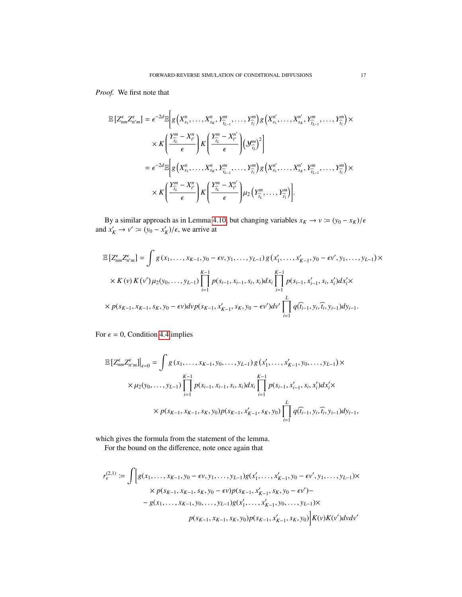*Proof.* We first note that

$$
\mathbb{E}\left[Z_{nm}^{\epsilon}Z_{n'm}^{\epsilon}\right] = \epsilon^{-2d} \mathbb{E}\left[g\left(X_{s_1}^n,\ldots,X_{s_K}^n,Y_{\widehat{i_{L-1}}^n}^m,\ldots,Y_{\widehat{i_1}}^n\right)g\left(X_{s_1}^{n'},\ldots,X_{s_K}^{n'},Y_{\widehat{i_{L-1}}^n}^m,\ldots,Y_{\widehat{i_1}}^n\right)\times\\ \times K\left(\frac{Y_{\widehat{i_L}}^m - X_{t^*}^n}{\epsilon}\right)K\left(\frac{Y_{\widehat{i_L}}^m - X_{t^*}^{n'}}{\epsilon}\right)\left(\mathcal{Y}_{\widehat{i_L}}^m\right)^2\right] \n= \epsilon^{-2d} \mathbb{E}\left[g\left(X_{s_1}^n,\ldots,X_{s_K}^n,Y_{\widehat{i_{L-1}}^n}^m,\ldots,Y_{\widehat{i_1}}^m\right)g\left(X_{s_1}^{n'},\ldots,X_{s_K}^{n'},Y_{\widehat{i_{L-1}}^n}^m,\ldots,Y_{\widehat{i_1}}^m\right)\times\\ \times K\left(\frac{Y_{\widehat{i_L}}^m - X_{t^*}^n}{\epsilon}\right)K\left(\frac{Y_{\widehat{i_L}}^m - X_{t^*}^{n'}}{\epsilon}\right)\mu_2\left(Y_{\widehat{i_L}^n}^m,\ldots,Y_{\widehat{i_1}}^m\right)\right].
$$

By a similar approach as in Lemma [4.10,](#page-14-0) but changing variables  $x_K \to v := (y_0 - x_K)/\epsilon$  and  $x'_K \to v' := (y_0 - x'_K)/\epsilon$ , we arrive at

$$
\mathbb{E}\left[Z_{nm}^{\epsilon}Z_{n'm}^{\epsilon}\right] = \int g(x_1, \dots, x_{K-1}, y_0 - \epsilon v, y_1, \dots, y_{L-1}) g(x'_1, \dots, x'_{K-1}, y_0 - \epsilon v', y_1, \dots, y_{L-1}) \times
$$
\n
$$
\times K(v) K(v') \mu_2(y_0, \dots, y_{L-1}) \prod_{i=1}^{K-1} p(s_{i-1}, x_{i-1}, s_i, x_i) dx_i \prod_{i=1}^{K-1} p(s_{i-1}, x'_{i-1}, s_i, x'_i) dx'_i \times
$$
\n
$$
\times p(s_{K-1}, x_{K-1}, s_K, y_0 - \epsilon v) \, dv p(s_{K-1}, x'_{K-1}, s_K, y_0 - \epsilon v') \, dv' \prod_{i=1}^{L} q(\widehat{t}_{i-1}, y_i, \widehat{t}_i, y_{i-1}) \, dy_{i-1}.
$$

For  $\epsilon = 0$ , Condition [4.4](#page-11-0) implies

$$
\mathbb{E}\left[Z_{nm}^{\epsilon}Z_{n'm}^{\epsilon}\right]_{\epsilon=0}^{J} = \int g(x_1,\ldots,x_{K-1},y_0,\ldots,y_{L-1})g(x'_1,\ldots,x'_{K-1},y_0,\ldots,y_{L-1}) \times
$$
\n
$$
\times \mu_2(y_0,\ldots,y_{L-1})\prod_{i=1}^{K-1} p(s_{i-1},x_{i-1},s_i,x_i)dx_i \prod_{i=1}^{K-1} p(s_{i-1},x'_{i-1},s_i,x'_i)dx'_i \times
$$
\n
$$
\times p(s_{K-1},x_{K-1},s_K,y_0)p(s_{K-1},x'_{K-1},s_K,y_0) \prod_{i=1}^{L} q(\widehat{t}_{i-1},y_i,\widehat{t}_i,y_{i-1})dy_{i-1},
$$

which gives the formula from the statement of the lemma.

For the bound on the difference, note once again that

$$
r_{\epsilon}^{(2,1)} := \int \Big[ g(x_1, \dots, x_{K-1}, y_0 - \epsilon v, y_1, \dots, y_{L-1}) g(x'_1, \dots, x'_{K-1}, y_0 - \epsilon v', y_1, \dots, y_{L-1}) \times
$$
  
 
$$
\times p(s_{K-1}, x_{K-1}, s_K, y_0 - \epsilon v) p(s_{K-1}, x'_{K-1}, s_K, y_0 - \epsilon v') -
$$
  
 
$$
- g(x_1, \dots, x_{K-1}, y_0, \dots, y_{L-1}) g(x'_1, \dots, x'_{K-1}, y_0, \dots, y_{L-1}) \times
$$
  
 
$$
p(s_{K-1}, x_{K-1}, s_K, y_0) p(s_{K-1}, x'_{K-1}, s_K, y_0) \Big] K(v) K(v') dv dv'
$$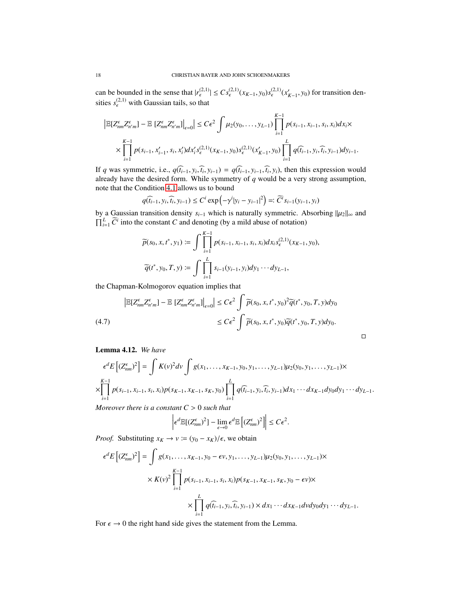can be bounded in the sense that  $|r_{\epsilon}^{(2,1)}| \leq Cs_{\epsilon}^{(2,1)}(x_{K-1}, y_0)s_{\epsilon}^{(2,1)}(x'_{K-1}, y_0)$  for transition densities  $s_{\epsilon}^{(2,1)}$  with Gaussian tails, so that

$$
\left| \mathbb{E}[Z_{nm}^{\epsilon} Z_{n'm}^{\epsilon}] - \mathbb{E}\left[Z_{nm}^{\epsilon} Z_{n'm}^{\epsilon}\right] \right|_{\epsilon=0} \le C\epsilon^2 \int \mu_2(y_0, \dots, y_{L-1}) \prod_{i=1}^{K-1} p(s_{i-1}, x_{i-1}, s_i, x_i) dx_i \times \prod_{i=1}^{K-1} p(s_{i-1}, x'_{i-1}, s_i, x'_i) dx_i' s_{\epsilon}^{(2,1)}(x_{K-1}, y_0) s_{\epsilon}^{(2,1)}(x'_{K-1}, y_0) \prod_{i=1}^{L} q(\widehat{t}_{i-1}, y_i, \widehat{t}_i, y_{i-1}) dy_{i-1}.
$$

If q was symmetric, i.e.,  $q(\hat{t}_{i-1}, y_i, \hat{t}_i, y_{i-1}) = q(\hat{t}_{i-1}, y_{i-1}, \hat{t}_i, y_i)$ , then this expression would already have the desired form. While symmetry of q would be a very strong assumption, note that the Condition [4.1](#page-10-1) allows us to bound

$$
q(\widehat{t_{i-1}}, y_i, \widehat{t_i}, y_{i-1}) \le C^i \exp\left(-\gamma^i|y_i - y_{i-1}|^2\right) =: \widetilde{C}^i s_{i-1}(y_{i-1}, y_i)
$$

by a Gaussian transition density  $s_{i-1}$  which is naturally symmetric. Absorbing  $||\mu_2||_{\infty}$  and  $\Pi^L$   $\widetilde{C}^i$  into the constant  $C$  and denoting (by a mild abuse of notation).  $\prod_{i=1}^{L} \widetilde{C}^i$  into the constant *C* and denoting (by a mild abuse of notation)

$$
\widetilde{p}(s_0, x, t^*, y_1) := \int \prod_{i=1}^{K-1} p(s_{i-1}, x_{i-1}, s_i, x_i) dx_i s_{\epsilon}^{(2,1)}(x_{K-1}, y_0),
$$

$$
\widetilde{q}(t^*, y_0, T, y) := \int \prod_{i=1}^{L} s_{i-1}(y_{i-1}, y_i) dy_1 \cdots dy_{L-1},
$$

the Chapman-Kolmogorov equation implies that

<span id="page-17-1"></span>
$$
\left| \mathbb{E}[Z_{nm}^{\epsilon} Z_{n'm}^{\epsilon}] - \mathbb{E}\left[Z_{nm}^{\epsilon} Z_{n'm}^{\epsilon}\right] \right|_{\epsilon=0} \le C\epsilon^2 \int \widetilde{p}(s_0, x, t^*, y_0)^2 \widetilde{q}(t^*, y_0, T, y) dy_0
$$
\n
$$
\le C\epsilon^2 \int \widetilde{p}(s_0, x, t^*, y_0) \widetilde{q}(t^*, y_0, T, y) dy_0.
$$
\n(4.7)

<span id="page-17-0"></span>Lemma 4.12. *We have*

$$
\epsilon^d E\left[ (Z_{nm}^{\epsilon})^2 \right] = \int K(v)^2 dv \int g(x_1, \dots, x_{K-1}, y_0, y_1, \dots, y_{L-1}) \mu_2(y_0, y_1, \dots, y_{L-1}) \times
$$
  
\n
$$
\times \prod_{i=1}^{K-1} p(s_{i-1}, x_{i-1}, s_i, x_i) p(s_{K-1}, x_{K-1}, s_K, y_0) \prod_{i=1}^L q(\widehat{t}_{i-1}, y_i, \widehat{t}_i, y_{i-1}) dx_1 \cdots dx_{K-1} dy_0 dy_1 \cdots dy_{L-1}.
$$

 $\Box$ 

*Moreover there is a constant C* > <sup>0</sup> *such that*

$$
\left|\epsilon^d\mathbb{E}[(Z_{nm}^\epsilon)^2] - \lim_{\epsilon \to 0} \epsilon^d \mathbb{E}\left[(Z_{nm}^\epsilon)^2\right]\right| \le C\epsilon^2.
$$

*Proof.* Substituting  $x_K \to v := (y_0 - x_K)/\epsilon$ , we obtain

$$
\epsilon^{d} E\left[ (Z_{nm}^{\epsilon})^{2} \right] = \int g(x_{1}, \dots, x_{K-1}, y_{0} - \epsilon v, y_{1}, \dots, y_{L-1}) \mu_{2}(y_{0}, y_{1}, \dots, y_{L-1}) \times
$$
\n
$$
\times K(v)^{2} \prod_{i=1}^{K-1} p(s_{i-1}, x_{i-1}, s_{i}, x_{i}) p(s_{K-1}, x_{K-1}, s_{K}, y_{0} - \epsilon v) \times
$$
\n
$$
\times \prod_{i=1}^{L} q(\widehat{t_{i-1}}, y_{i}, \widehat{t_{i}}, y_{i-1}) \times dx_{1} \cdots dx_{K-1} dv dy_{0} dy_{1} \cdots dy_{L-1}.
$$

For  $\epsilon \to 0$  the right hand side gives the statement from the Lemma.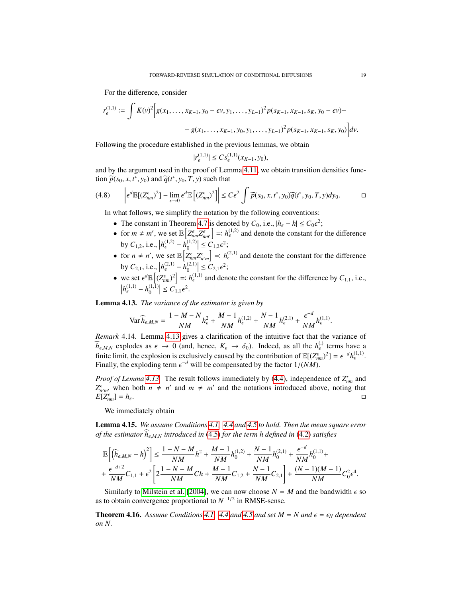For the difference, consider

$$
r_{\epsilon}^{(1,1)} := \int K(v)^2 \Big[ g(x_1, \dots, x_{K-1}, y_0 - \epsilon v, y_1, \dots, y_{L-1})^2 p(s_{K-1}, x_{K-1}, s_K, y_0 - \epsilon v) -
$$

$$
- g(x_1, \dots, x_{K-1}, y_0, y_1, \dots, y_{L-1})^2 p(s_{K-1}, x_{K-1}, s_K, y_0) \Big] dv.
$$

Following the procedure established in the previous lemmas, we obtain

$$
|r_{\epsilon}^{(1,1)}| \leq Cs_{\epsilon}^{(1,1)}(x_{K-1}, y_0),
$$

and by the argument used in the proof of Lemma [4.11,](#page-15-0) we obtain transition densities function  $\widetilde{p}(s_0, x, t^*, y_0)$  and  $\widetilde{q}(t^*, y_0, T, y)$  such that

<span id="page-18-3"></span>
$$
(4.8) \qquad \left| \epsilon^d \mathbb{E}[(Z_{nm}^{\epsilon})^2] - \lim_{\epsilon \to 0} \epsilon^d \mathbb{E}[(Z_{nm}^{\epsilon})^2] \right| \le C\epsilon^2 \int \widetilde{p}(s_0, x, t^*, y_0) \widetilde{q}(t^*, y_0, T, y) dy_0. \qquad \Box
$$

In what follows, we simplify the notation by the following conventions:

- The constant in Theorem [4.7](#page-11-3) is denoted by  $C_0$ , i.e.,  $|h_{\epsilon} h| \leq C_0 \epsilon^2$ ;<br>
 for  $m \neq m'$ , we set  $\mathbb{E} \left[ z^{\epsilon} \mid z^{\epsilon} \right] = L^{(1,2)}$  and denote the sensitive form
- for  $m \neq m'$ , we set  $\mathbb{E}\left[Z_{nm}^{\epsilon}Z_{nm'}^{\epsilon}\right] =: h_{\epsilon}^{(1,2)}$  and denote the constant for the difference by  $C_{1,2}$ , i.e.,  $|h_{\epsilon}^{(1,2)} h_{0}^{(1,2)}| \le C_{1,2} \epsilon^2$ ;
- by *C*<sub>1,2</sub>, i.e.,  $|h_{\epsilon}^{(1,2)} h_{0}^{(1,2)}| \le C_{1,2} \epsilon^2$ ;<br>
 for *n* ≠ *n'*, we set  $\mathbb{E}\left[Z_{nm}^{\epsilon}Z_{n'm}^{\epsilon}\right] =: h_{\epsilon}^{(2,1)}$  and denote the constant for the difference by  $C_{2,1}$ , i.e.,  $|h_{\epsilon}^{(2,1)} - h_0^{(2,1)}| \le C_{2,1} \epsilon^2$ ;
- we set  $\epsilon^d \mathbb{E}\left[ (Z_{nm}^{\epsilon})^2 \right] =: h_{\epsilon}^{(1,1)}$  and denote the constant for the difference by  $C_{1,1}$ , i.e.,  $|h_{\epsilon}^{(1,1)} h_0^{(1,1)}| \le C_{1,1} \epsilon^2$ .

<span id="page-18-0"></span>Lemma 4.13. *The variance of the estimator is given by*

$$
\text{Var}\,\widehat{h}_{\epsilon,M,N} = \frac{1-M-N}{NM}h_{\epsilon}^2 + \frac{M-1}{NM}h_{\epsilon}^{(1,2)} + \frac{N-1}{NM}h_{\epsilon}^{(2,1)} + \frac{\epsilon^{-d}}{NM}h_{\epsilon}^{(1,1)}.
$$

*Remark* 4.14*.* Lemma [4.13](#page-18-0) gives a clarification of the intuitive fact that the variance of  $\hat{h}_{\epsilon,M,N}$  explodes as  $\epsilon \to 0$  (and, hence,  $K_{\epsilon} \to \delta_0$ ). Indeed, as all the  $h_{\epsilon}^{(\cdot)}$  terms have a finite limit the explosion is exclusively equated by the contribution of  $\mathbb{E}[(\mathcal{I}\epsilon)^{2}] = \epsilon^{-d} h^{(1,1)}$ finite limit, the explosion is exclusively caused by the contribution of  $\mathbb{E}[(Z_{\epsilon m}^{\epsilon})^2] = \epsilon^{-d} h_{\epsilon}^{(1,1)}$ .<br>Finally the exploding term  $\epsilon^{-d}$  will be compensated by the factor  $1/(NM)$ . Finally, the exploding term  $\epsilon^{-d}$  will be compensated by the factor  $1/(NM)$ .

*Proof of Lemma [4.13.](#page-18-0)* The result follows immediately by [\(4.4\)](#page-13-0), independence of  $Z_{nm}^{\epsilon}$  and  $Z_{n'm'}^{\epsilon}$  when both  $n \neq n'$  and  $m \neq m'$  and the notations introduced above, noting that  $E[Z_{nm}^{\epsilon}] = h_{\epsilon}$ .

We immediately obtain

<span id="page-18-1"></span>Lemma 4.15. *We assume Conditions [4.1,](#page-10-1) [4.4](#page-11-0) and [4.5](#page-11-1) to hold. Then the mean square error of the estimator*  $h_{\epsilon,M,N}$  *introduced in* [\(4.5\)](#page-13-1) *for the term h defined in* [\(4.2\)](#page-11-4) *satisfies* 

$$
\begin{split} &\mathbb{E}\left[\left(\widehat{h}_{\epsilon,M,N}-h\right)^2\right] \leq \frac{1-N-M}{NM}h^2 + \frac{M-1}{NM}h_0^{(1,2)} + \frac{N-1}{NM}h_0^{(2,1)} + \frac{\epsilon^{-d}}{NM}h_0^{(1,1)} +\\ &+ \frac{\epsilon^{-d+2}}{NM}C_{1,1} + \epsilon^2\left[2\frac{1-N-M}{NM}Ch + \frac{M-1}{NM}C_{1,2} + \frac{N-1}{NM}C_{2,1}\right] + \frac{(N-1)(M-1)}{NM}C_0^2\epsilon^4. \end{split}
$$

Similarly to [Milstein et al.](#page-29-12) [\[2004\]](#page-29-12), we can now choose  $N = M$  and the bandwidth  $\epsilon$  so as to obtain convergence proportional to  $N^{-1/2}$  in RMSE-sense.

<span id="page-18-2"></span>**Theorem 4.16.** Assume Conditions [4.1,](#page-10-1) [4.4](#page-11-0) and [4.5](#page-11-1) and set  $M = N$  and  $\epsilon = \epsilon_N$  dependent *on N.*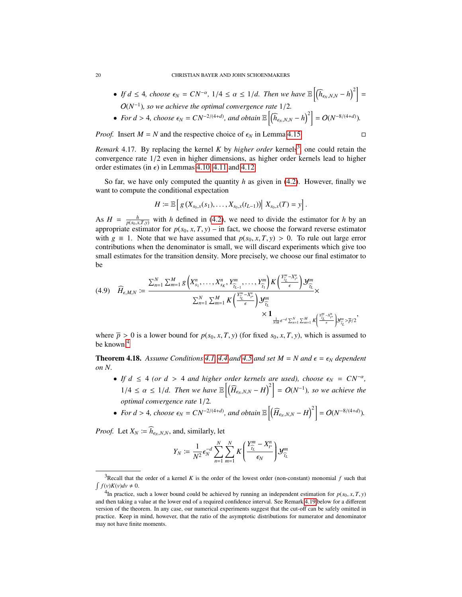- *If*  $d \leq 4$ *, choose*  $\epsilon_N = CN^{-\alpha}$ ,  $1/4 \leq \alpha \leq 1/d$ *. Then we have*  $\mathbb{E}\left[\left(\widehat{h}_{\epsilon_N,N,N} h\right)^2\right] =$  $O(N^{-1})$ *), so we achieve the optimal convergence rate*  $1/2$ *.*
- *For d* > 4*, choose*  $\epsilon_N = CN^{-2/(4+d)}$ *, and obtain*  $\mathbb{E}\left[\left(\widehat{h}_{\epsilon_N,N,N} h\right)^2\right] = O(N^{-8/(4+d)})$ *.*

*Proof.* Insert  $M = N$  and the respective choice of  $\epsilon_N$  in Lemma [4.15.](#page-18-1)

<span id="page-19-0"></span>*Remark* 4.17. By replacing the kernel *K* by *higher order* kernels<sup>[3](#page-19-1)</sup>, one could retain the convergence rate 1/2 even in higher dimensions, as higher order kernels lead to higher order estimates (in  $\epsilon$ ) in Lemmas [4.10,](#page-14-0) [4.11](#page-15-0) and [4.12.](#page-17-0)

So far, we have only computed the quantity *h* as given in [\(4.2\)](#page-11-4). However, finally we want to compute the conditional expectation

$$
H := \mathbb{E}\left[g\left(X_{s_0,x}(s_1),\ldots,X_{s_0,x}(t_{L-1})\right)\middle| \ X_{s_0,x}(T) = y\right].
$$

As  $H = \frac{h}{p(s_0, x, T, y)}$  with *h* defined in [\(4.2\)](#page-11-4), we need to divide the estimator for *h* by an appropriate estimator for  $p(s_0, x, T, y)$  – in fact, we choose the forward reverse estimator with  $g \equiv 1$ . Note that we have assumed that  $p(s_0, x, T, y) > 0$ . To rule out large error contributions when the denominator is small, we will discard experiments which give too small estimates for the transition density. More precisely, we choose our final estimator to be

<span id="page-19-3"></span>
$$
(4.9) \quad \widehat{H}_{\epsilon,M,N} := \frac{\sum_{n=1}^{N} \sum_{m=1}^{M} g\left(X_{s_1}^n, \ldots, X_{s_K}^n, Y_{\widehat{t}_{L-1}}^m, \ldots, Y_{\widehat{t}_1}^m\right) K\left(\frac{Y_{\widehat{t}_L}^m - X_{t^*}^n}{\epsilon}\right) \mathcal{Y}_{\widehat{t}_L}^m}{\sum_{n=1}^{N} \sum_{m=1}^{M} K\left(\frac{Y_{\widehat{t}_L}^m - X_{t^*}^n}{\epsilon}\right) \mathcal{Y}_{\widehat{t}_L}^m}{\times 1} \times \frac{1}{\frac{1}{NM} \epsilon^{-d} \sum_{n=1}^{N} \sum_{m=1}^{M} K\left(\frac{Y_{\widehat{t}_L}^m - X_{t^*}^n}{\epsilon}\right) \mathcal{Y}_{\widehat{t}_L}^m > \overline{p}/2}
$$

where  $\overline{p} > 0$  is a lower bound for  $p(s_0, x, T, y)$  (for fixed  $s_0, x, T, y$ ), which is assumed to be known.<sup>[4](#page-19-2)</sup>

,

<span id="page-19-4"></span>**Theorem 4.18.** Assume Conditions [4.1,](#page-10-1) [4.4](#page-11-0) and [4.5](#page-11-1) and set  $M = N$  and  $\epsilon = \epsilon_N$  dependent *on N.*

- *If*  $d \leq 4$  *(or d* > 4 *and higher order kernels are used), choose*  $\epsilon_N = CN^{-\alpha}$ ,  $1/4 \le \alpha \le 1/d$ . Then we have  $\mathbb{E}\left[\left(\widehat{H}_{\epsilon_N,N,N}-H\right)^2\right] = O(N^{-1})$ , so we achieve the *optimal convergence rate* <sup>1</sup>/2*.*
- *For d* > 4*, choose*  $\epsilon_N = CN^{-2/(4+d)}$ *, and obtain*  $\mathbb{E}\left[\left(\widehat{H}_{\epsilon_N,N,N} H\right)^2\right] = O(N^{-8/(4+d)})$ *.*

*Proof.* Let  $X_N := \widehat{h}_{\epsilon_N, N, N}$ , and, similarly, let

$$
Y_N := \frac{1}{N^2} \epsilon_N^{-d} \sum_{n=1}^N \sum_{m=1}^N K\left(\frac{Y_{\widehat{t}_L}^m - X_{t^*}^n}{\epsilon_N}\right) \mathcal{Y}_{\widehat{t}_L}^m
$$

<span id="page-19-1"></span><sup>&</sup>lt;sup>3</sup>Recall that the order of a kernel *K* is the order of the lowest order (non-constant) monomial *f* such that  $\int f(v)K(v)dv \neq 0.$ 

<span id="page-19-2"></span><sup>&</sup>lt;sup>4</sup>In practice, such a lower bound could be achieved by running an independent estimation for  $p(s_0, x, T, y)$  then taking a value at the lower and of a required confidence interval. See Permark 4.10 helow for a different and then taking a value at the lower end of a required confidence interval. See Remark [4.19](#page-21-0) below for a different version of the theorem. In any case, our numerical experiments suggest that the cut-off can be safely omitted in practice. Keep in mind, however, that the ratio of the asymptotic distributions for numerator and denominator may not have finite moments.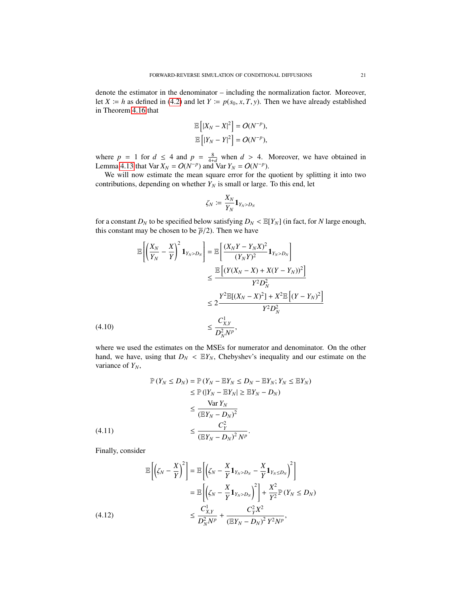denote the estimator in the denominator – including the normalization factor. Moreover, let *X*  $:= h$  as defined in [\(4.2\)](#page-11-4) and let *Y*  $:= p(s_0, x, T, y)$ . Then we have already established in Theorem [4.16](#page-18-2) that

$$
\mathbb{E}\left[|X_N - X|^2\right] = O(N^{-p}),
$$
  

$$
\mathbb{E}\left[|Y_N - Y|^2\right] = O(N^{-p}),
$$

where  $p = 1$  for  $d \le 4$  and  $p = \frac{8}{4+d}$  when  $d > 4$ . Moreover, we have obtained in Lemma [4.13](#page-18-0) that Var  $X_N = O(N^{-p})$  and Var  $Y_N = O(N^{-p})$ .

We will now estimate the mean square error for the quotient by splitting it into two contributions, depending on whether  $Y_N$  is small or large. To this end, let

$$
\zeta_N\coloneqq\frac{X_N}{Y_N}\mathbf{1}_{Y_N>D_N}
$$

for a constant  $D_N$  to be specified below satisfying  $D_N < \mathbb{E}[Y_N]$  (in fact, for *N* large enough, this constant may be chosen to be  $\bar{p}/2$ ). Then we have

$$
\mathbb{E}\left[\left(\frac{X_N}{Y_N} - \frac{X}{Y}\right)^2 \mathbf{1}_{Y_N > D_N}\right] = \mathbb{E}\left[\frac{(X_N Y - Y_N X)^2}{(Y_N Y)^2} \mathbf{1}_{Y_N > D_N}\right]
$$
\n
$$
\leq \frac{\mathbb{E}\left[(Y(X_N - X) + X(Y - Y_N))^2\right]}{Y^2 D_N^2}
$$
\n
$$
\leq 2 \frac{Y^2 \mathbb{E}[(X_N - X)^2] + X^2 \mathbb{E}\left[(Y - Y_N)^2\right]}{Y^2 D_N^2}
$$
\n
$$
\leq \frac{C_{X,Y}^1}{D_N^2 N^p},
$$
\n
$$
(4.10)
$$

<span id="page-20-0"></span>where we used the estimates on the MSEs for numerator and denominator. On the other hand, we have, using that  $D_N < \mathbb{E}Y_N$ , Chebyshev's inequality and our estimate on the variance of *YN*,

$$
\mathbb{P}(Y_N \le D_N) = \mathbb{P}(Y_N - \mathbb{E}Y_N \le D_N - \mathbb{E}Y_N; Y_N \le \mathbb{E}Y_N)
$$
  
\n
$$
\le \mathbb{P}(|Y_N - \mathbb{E}Y_N| \ge \mathbb{E}Y_N - D_N)
$$
  
\n
$$
\le \frac{\text{Var } Y_N}{(\mathbb{E}Y_N - D_N)^2}
$$
  
\n(4.11)  
\n
$$
\le \frac{C_Y^2}{(\mathbb{E}Y_N - D_N)^2 N^p}.
$$

<span id="page-20-1"></span>Finally, consider

<span id="page-20-2"></span>
$$
\mathbb{E}\left[\left(\zeta_N - \frac{X}{Y}\right)^2\right] = \mathbb{E}\left[\left(\zeta_N - \frac{X}{Y}\mathbf{1}_{Y_N > D_N} - \frac{X}{Y}\mathbf{1}_{Y_N \le D_N}\right)^2\right] \\
= \mathbb{E}\left[\left(\zeta_N - \frac{X}{Y}\mathbf{1}_{Y_N > D_N}\right)^2\right] + \frac{X^2}{Y^2}\mathbb{P}\left(Y_N \le D_N\right) \\
\le \frac{C_{X,Y}^1}{D_N^2 N^p} + \frac{C_Y^2 X^2}{\left(\mathbb{E}Y_N - D_N\right)^2 Y^2 N^p},
$$
\n(4.12)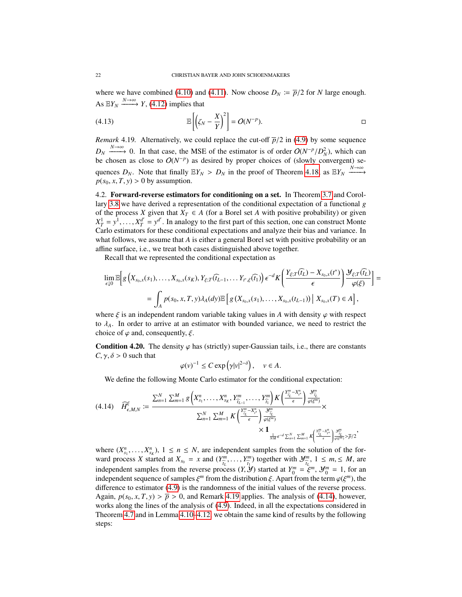where we have combined [\(4.10\)](#page-20-0) and [\(4.11\)](#page-20-1). Now choose  $D_N := \overline{p}/2$  for *N* large enough. As  $\mathbb{E}Y_N \xrightarrow{N \to \infty} Y$ , [\(4.12\)](#page-20-2) implies that

$$
(4.13) \t\t\t\t\t\mathbb{E}\left[\left(\zeta_N - \frac{X}{Y}\right)^2\right] = O(N^{-p}).
$$

<span id="page-21-0"></span>*Remark* 4.19*.* Alternatively, we could replace the cut-off  $\overline{p}/2$  in [\(4.9\)](#page-19-3) by some sequence  $D_N \xrightarrow{N \to \infty} 0$ . In that case, the MSE of the estimator is of order  $O(N^{-p}/D_N^2)$ , which can be chosen as close to  $O(N^{-p})$  as desired by proper choices of (slowly convergent) sebe chosen as close to  $O(N^{-p})$  as desired by proper choices of (slowly convergent) sequences  $D_N$ . Note that finally  $\mathbb{E}Y_N > D_N$  in the proof of Theorem [4.18,](#page-19-4) as  $\mathbb{E}Y_N \xrightarrow{N \to \infty} P(S_0, Y, T, V) > 0$  by assumption  $p(s_0, x, T, y) > 0$  by assumption.

4.2. Forward-reverse estimators for conditioning on a set. In Theorem [3.7](#page-9-3) and Corollary [3.8](#page-10-2) we have derived a representation of the conditional expectation of a functional *g* of the process *X* given that  $X_T \in A$  (for a Borel set *A* with positive probability) or given  $X_T^1 = y^1, \ldots, X_T^{d'}$ <br>Carlo estimators  $T_T^{d'} = y^{d'}$ . In analogy to the first part of this section, one can construct Monte Carlo estimators for these conditional expectations and analyze their bias and variance. In what follows, we assume that *A* is either a general Borel set with positive probability or an affine surface, i.e., we treat both cases distinguished above together.

Recall that we represented the conditional expectation as

$$
\lim_{\epsilon \downarrow 0} \mathbb{E} \Big[ g\Big( X_{s_0,x}(s_1), \dots, X_{s_0,x}(s_K), Y_{\xi;T}(\widehat{t_{L-1}}, \dots, Y_{t^*,\xi}(\widehat{t_1}) \Big) \epsilon^{-d} K \bigg( \frac{Y_{\xi;T}(\widehat{t_L}) - X_{s_0,x}(t^*)}{\epsilon} \bigg) \frac{\mathcal{Y}_{\xi;T}(\widehat{t_L})}{\varphi(\xi)} \Big] = \\ = \int_A p(s_0, x, T, y) \lambda_A(dy) \mathbb{E} \Big[ g\left( X_{s_0,x}(s_1), \dots, X_{s_0,x}(t_{L-1}) \right) \Big| \ X_{s_0,x}(T) \in A \Big],
$$

where  $\xi$  is an independent random variable taking values in *A* with density  $\varphi$  with respect to  $\lambda_A$ . In order to arrive at an estimator with bounded variance, we need to restrict the choice of  $\varphi$  and, consequently,  $\xi$ .

<span id="page-21-2"></span>**Condition 4.20.** The density  $\varphi$  has (strictly) super-Gaussian tails, i.e., there are constants  $C, \gamma, \delta > 0$  such that

$$
\varphi(v)^{-1} \le C \exp(\gamma |v|^{2-\delta}), \quad v \in A.
$$

We define the following Monte Carlo estimator for the conditional expectation:

<span id="page-21-1"></span>
$$
(4.14) \quad \widehat{H}_{\epsilon,M,N}^{\xi} := \frac{\sum_{n=1}^{N} \sum_{m=1}^{M} g\left(X_{s_{1}}^{n}, \ldots, X_{s_{K}}^{n}, Y_{\widehat{l}_{L-1}}^{m}, \ldots, Y_{\widehat{l}_{1}}^{m}\right) K\left(\frac{Y_{\widehat{l}_{L}}^{m} - X_{\ell}^{n}}{\epsilon}\right) \frac{\mathcal{Y}_{\widehat{l}_{L}}^{m}}{\varphi(\xi^{m})}}{\varphi(\xi^{m})} \times \\ \frac{\sum_{n=1}^{N} \sum_{m=1}^{M} K\left(\frac{Y_{\widehat{l}_{L}}^{m} - X_{\ell}^{n}}{\epsilon}\right) \frac{\mathcal{Y}_{\widehat{l}_{L}}^{m}}{\varphi(\xi^{m})}}{\sum_{M}^{M} \epsilon^{-d} \sum_{n=1}^{N} \sum_{m=1}^{M} K\left(\frac{Y_{\widehat{l}_{L}}^{m} - X_{\ell}^{n}}{\epsilon}\right) \frac{\mathcal{Y}_{\widehat{l}_{L}}^{m}}{\varphi(\xi^{m})} > \overline{p}/2}
$$

,

where  $(X_{s_1}^n, \ldots, X_{s_K}^n)$ ,  $1 \le n \le N$ , are independent samples from the solution of the for-<br>ward process X started at  $X = x$  and  $(Y^m - Y^m)$  together with  $Y^m - 1 \le m \le M$  are ward process *X* started at  $X_{s_0} = x$  and  $(Y_{\widehat{i}}^m)$  $\hat{t}_L^m, \ldots, Y^m_{\hat{t}_1}$ *b*<sub> $\hat{t}$ </sub><sup>m</sup>
<sub>*f*</sub><sub>1</sub></sub> (*o*<sub>*t*</sub><sub>*t*</sub><sub>*k*</sub> (*o*<sub>*t*</sub><sub>*k*</sub> *t*<sub>*l*</sub><sup>*m*</sup><sub>*k*</sub> *L<sup><i>m*</sup><sub>*k*</sub> *L<sup><i>m*</sup><sub>*k*</sub> *L<sup><i>m*</sup><sub>*k*</sub> *Lm*<sub>*z*</sub> *n*<sub>*b*</sub> *Lf*<sub>*x*</sub> *n*<sub>*s*</sub> *n*<sub>*k*</sub> independent samples from the reverse process  $(Y, \dot{Y})$  started at  $Y_0^m = \xi^m$ ,  $Y_0^m = 1$ , for an independent sequence of samples  $\xi^m$  from the distribution  $\xi$ . Apart from the term  $\varphi(\xi^m)$ , the independent sequence of samples  $\xi^m$  from the distribution  $\xi$ . Apart from the term  $\varphi(\xi^m)$ , the difference to estimator (4.9) is the randomness of the initial values of the reverse process difference to estimator [\(4.9\)](#page-19-3) is the randomness of the initial values of the reverse process. Again,  $p(s_0, x, T, y) > \overline{p} > 0$ , and Remark [4.19](#page-21-0) applies. The analysis of [\(4.14\)](#page-21-1), however, works along the lines of the analysis of [\(4.9\)](#page-19-3). Indeed, in all the expectations considered in Theorem [4.7](#page-11-3) and in Lemma [4.10](#page-14-0)[–4.12,](#page-17-0) we obtain the same kind of results by the following steps: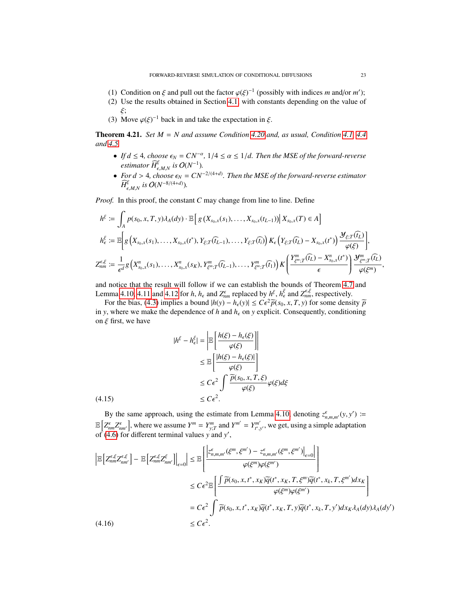- (1) Condition on  $\xi$  and pull out the factor  $\varphi(\xi)^{-1}$  (possibly with indices *m* and/or *m'*);<br>(2) Use the results obtained in Section 4.1, with constants depending on the value of
- (2) Use the results obtained in Section [4.1,](#page-11-5) with constants depending on the value of
- ξ;<br>Μ (3) Move  $\varphi(\xi)^{-1}$  back in and take the expectation in  $\xi$ .

<span id="page-22-2"></span>Theorem 4.21. *Set M* = *N and assume Condition [4.20](#page-21-2) and, as usual, Condition [4.1,](#page-10-1) [4.4](#page-11-0) and [4.5.](#page-11-1)*

- *If d* ≤ 4*, choose*  $\epsilon_N = CN^{-\alpha}$ , 1/4 ≤ α ≤ 1/*d. Then the MSE of the forward-reverse* estimator  $\widehat{H}^{\xi}$  is  $O(N^{-1})$ . *estimator*  $\widehat{H}_{\epsilon,M,N}^{\xi}$  *is*  $O(N^{-1})$ *.*
- *For d* > 4*, choose*  $\epsilon_N = CN^{-2/(4+d)}$ . Then the MSE of the forward-reverse estimator<br>  $\widehat{H}^{\xi}$  is  $O(N^{-8/(4+d)})$  $\widehat{H}_{\epsilon,M,N}^{\xi}$  *is*  $O(N^{-8/(4+d)})$ *.*

*Proof.* In this proof, the constant *C* may change from line to line. Define

$$
h^{\xi} := \int_{A} p(s_{0}, x, T, y) \lambda_{A}(dy) \cdot \mathbb{E} \Big[ g\left(X_{s_{0}, x}(s_{1}), \ldots, X_{s_{0}, x}(t_{L-1})\right) \Big| X_{s_{0}, x}(T) \in A \Big]
$$
  
\n
$$
h^{\xi}_{\epsilon} := \mathbb{E} \Big[ g\left(X_{s_{0}, x}(s_{1}), \ldots, X_{s_{0}, x}(t^{*}), Y_{\xi; T}(\widehat{t_{L-1}}), \ldots, Y_{\xi; T}(\widehat{t_{i}})\right) K_{\epsilon} \left(Y_{\xi; T}(\widehat{t_{L}}) - X_{s_{0}, x}(t^{*})\right) \frac{\mathcal{Y}_{\xi; T}(\widehat{t_{L}})}{\varphi(\xi)} \Big],
$$
  
\n
$$
Z_{nm}^{\epsilon, \xi} := \frac{1}{\epsilon^{d}} g\left(X_{s_{0}, x}^{n}(s_{1}), \ldots, X_{s_{0}, x}^{n}(s_{K}), Y_{\xi^{m}; T}^{m}(\widehat{t_{L-1}}), \ldots, Y_{\xi^{m}; T}^{m}(\widehat{t_{1}})\right) K \Bigg( \frac{Y_{\xi^{m}; T}^{m}(\widehat{t_{L}}) - X_{s_{0}, x}^{n}(t^{*})}{\epsilon} \Bigg) \frac{\mathcal{Y}_{\xi^{m}; T}^{m}(\widehat{t_{L}})}{\varphi(\xi^{m})},
$$

and notice that the result will follow if we can establish the bounds of Theorem [4.7](#page-11-3) and Lemma [4.10,](#page-14-0) [4.11](#page-15-0) and [4.12](#page-17-0) for *h*,  $h_{\epsilon}$  and  $Z_{nm}^{\epsilon}$  replaced by  $h^{\epsilon}$ ,  $h^{\epsilon}$  and  $Z_{nm}^{\epsilon\epsilon}$ , respectively.

For the bias, [\(4.3\)](#page-13-2) implies a bound  $|h(y) - h_{\epsilon}(y)| \leq C \epsilon^2 \tilde{p}(s_0, x, T, y)$  for some density  $\tilde{p}$ <br>w where we make the dependence of *h* and *h* on *y* explicit. Consequently conditioning in *y*, where we make the dependence of *h* and  $h_{\epsilon}$  on *y* explicit. Consequently, conditioning on  $\xi$  first, we have

$$
|h^{\xi} - h_{\epsilon}^{\xi}| = \left| \mathbb{E} \left[ \frac{h(\xi) - h_{\epsilon}(\xi)}{\varphi(\xi)} \right] \right|
$$
  

$$
\leq \mathbb{E} \left[ \frac{|h(\xi) - h_{\epsilon}(\xi)|}{\varphi(\xi)} \right]
$$
  

$$
\leq C\epsilon^2 \int \frac{\widetilde{p}(s_0, x, T, \xi)}{\varphi(\xi)} \varphi(\xi) d\xi
$$
  
(4.15) 
$$
\leq C\epsilon^2.
$$

<span id="page-22-0"></span>By the same approach, using the estimate from Lemma [4.10,](#page-14-0) denoting  $z_{n,m,m'}^{\epsilon}(y, y') :=$ <br> $z_{n,m'}^{\epsilon}$  $\mathbb{E}\left[Z_{nm}^{\epsilon}Z_{nm}^{\epsilon}\right]$ , where we assume  $Y^{m} = Y_{m}^{m}$  and  $Y^{m'} = Y_{t^*,y'}^{m'}$ , we get, using a simple adaptation of (*A* 6) for different terminal values *y* and  $y'$ of  $(4.6)$  for different terminal values *y* and *y'*,

<span id="page-22-1"></span>
$$
\begin{split} \left| \mathbb{E} \left[ Z_{nm}^{\epsilon,\xi} Z_{nm'}^{\epsilon,\xi} \right] - \mathbb{E} \left[ Z_{nm}^{\epsilon,\xi} Z_{nm'}^{\xi} \right] \right|_{\epsilon=0} & \left| \leq \mathbb{E} \left[ \frac{\left| z_{n,m,m'}^{\epsilon}(\xi^{m},\xi^{m'}) - z_{n,m,m'}^{\epsilon}(\xi^{m},\xi^{m'}) \right|_{\epsilon=0} \right|}{\varphi(\xi^{m})\varphi(\xi^{m'})} \right] \\ &\leq C\epsilon^2 \mathbb{E} \left[ \frac{\int \widetilde{p}(s_0, x, t^*, x_K) \widetilde{q}(t^*, x_K, T, \xi^m) \widetilde{q}(t^*, x_k, T, \xi^{m'}) dx_K}{\varphi(\xi^{m})\varphi(\xi^{m'})} \right] \\ &= C\epsilon^2 \int \widetilde{p}(s_0, x, t^*, x_K) \widetilde{q}(t^*, x_K, T, y) \widetilde{q}(t^*, x_k, T, y') dx_K \lambda_A(dy) \lambda_A(dy') \\ &\leq C\epsilon^2. \end{split}
$$
\n
$$
(4.16)
$$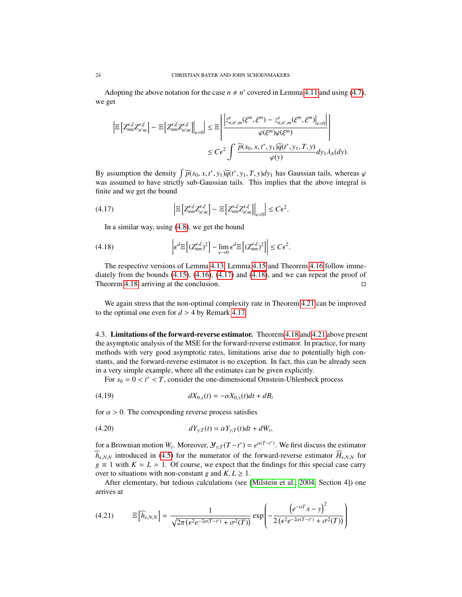Adopting the above notation for the case  $n \neq n'$  covered in Lemma [4.11](#page-15-0) and using [\(4.7\)](#page-17-1), we get

$$
\left| \mathbb{E} \left[ Z_{nm}^{\epsilon,\xi} Z_{n'm}^{\epsilon,\xi} \right] - \mathbb{E} \left[ Z_{nm}^{\epsilon,\xi} Z_{n'm}^{\epsilon,\xi} \right] \right|_{\epsilon=0} \right| \leq \mathbb{E} \left[ \frac{\left| z_{n,n',m}^{\epsilon}(\xi^m,\xi^m) - z_{n,n',m}^{\epsilon}(\xi^m,\xi^m) \right|_{\epsilon=0} \right|}{\varphi(\xi^m) \varphi(\xi^m)} \right] \leq C \epsilon^2 \int \frac{\widetilde{p}(s_0, x, t^*, y_1) \widetilde{q}(t^*, y_1, T, y)}{\varphi(y)} dy_1 \lambda_A(dy).
$$

By assumption the density  $\int \tilde{p}(s_0, x, t^*, y_1) \tilde{q}(t^*, y_1, T, y) dy_1$  has Gaussian tails, whereas  $\varphi$  was assumed to have strictly sub-Gaussian tails. This implies that the above integral is was assumed to have strictly sub-Gaussian tails. This implies that the above integral is finite and we get the bound

$$
(4.17) \qquad \qquad \left| \mathbb{E} \left[ Z_{nm}^{\epsilon,\xi} Z_{n'm}^{\epsilon,\xi} \right] - \mathbb{E} \left[ Z_{nm}^{\epsilon,\xi} Z_{n'm}^{\epsilon,\xi} \right] \right|_{\epsilon=0} \leq C \epsilon^2
$$

<span id="page-23-2"></span><span id="page-23-1"></span>In a similar way, using [\(4.8\)](#page-18-3), we get the bound

(4.18) 
$$
\left| \epsilon^{d} \mathbb{E} \left[ (Z_{nm}^{\epsilon,\xi})^{2} \right] - \lim_{\epsilon \to 0} \epsilon^{d} \mathbb{E} \left[ (Z_{nm}^{\epsilon,\xi})^{2} \right] \right| \leq C \epsilon^{2}.
$$

The respective versions of Lemma [4.13,](#page-18-0) Lemma [4.15](#page-18-1) and Theorem [4.16](#page-18-2) follow immediately from the bounds  $(4.15)$ ,  $(4.16)$ ,  $(4.17)$  and  $(4.18)$ , and we can repeat the proof of Theorem [4.18,](#page-19-4) arriving at the conclusion.

We again stress that the non-optimal complexity rate in Theorem [4.21](#page-22-2) can be improved to the optimal one even for  $d > 4$  by Remark [4.17.](#page-19-0)

<span id="page-23-0"></span>4.3. Limitations of the forward-reverse estimator. Theorem [4.18](#page-19-4) and [4.21](#page-22-2) above present the asymptotic analysis of the MSE for the forward-reverse estimator. In practice, for many methods with very good asymptotic rates, limitations arise due to potentially high constants, and the forward-reverse estimator is no exception. In fact, this can be already seen in a very simple example, where all the estimates can be given explicitly.

<span id="page-23-4"></span>For  $s_0 = 0 < t^* < T$ , consider the one-dimensional Ornstein-Uhlenbeck process

(4.19) 
$$
dX_{0,x}(t) = -\alpha X_{0,x}(t)dt + dB_t
$$

for  $\alpha > 0$ . The corresponding reverse process satisfies

<span id="page-23-5"></span>
$$
dY_{y;T}(t) = \alpha Y_{y;T}(t)dt + dW_t,
$$

for a Brownian motion  $W_t$ . Moreover,  $\mathcal{Y}_{y;T}(T-t^*) = e^{\alpha(T-t^*)}$ . We first discuss the estimator  $\widehat{h}_{\epsilon,N,N}$  introduced in [\(4.5\)](#page-13-1) for the numerator of the forward-reverse estimator  $\widehat{H}_{\epsilon,N,N}$  for  $g \equiv 1$  with  $K = L = 1$ . Of course, we expect that the findings for this special case carry over to situations with non-constant *g* and  $K, L \geq 1$ .

After elementary, but tedious calculations (see [\[Milstein et al., 2004,](#page-29-12) Section 4]) one arrives at

<span id="page-23-3"></span>
$$
(4.21) \qquad \mathbb{E}\left[\widehat{h}_{\epsilon,N,N}\right] = \frac{1}{\sqrt{2\pi\left(\epsilon^2 e^{-2\alpha(T-t^*)} + \sigma^2(T)\right)}}\exp\left(-\frac{\left(e^{-\alpha T}x - y\right)^2}{2\left(\epsilon^2 e^{-2\alpha(T-t^*)} + \sigma^2(T)\right)}\right)
$$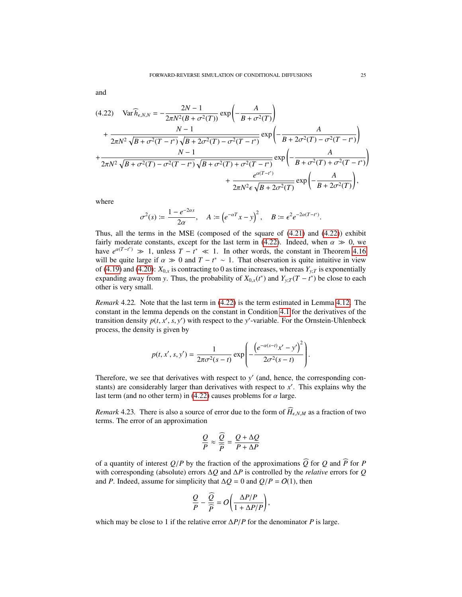and

<span id="page-24-0"></span>
$$
(4.22) \quad \text{Var}\,\widehat{h}_{\epsilon,N,N} = -\frac{2N-1}{2\pi N^2 (B+\sigma^2(T))} \exp\left(-\frac{A}{B+\sigma^2(T)}\right) \n+ \frac{N-1}{2\pi N^2 \sqrt{B+\sigma^2(T-t^*)} \sqrt{B+2\sigma^2(T)-\sigma^2(T-t^*)}} \exp\left(-\frac{A}{B+2\sigma^2(T)-\sigma^2(T-t^*)}\right) \n+ \frac{N-1}{2\pi N^2 \sqrt{B+\sigma^2(T)-\sigma^2(T-t^*)} \sqrt{B+\sigma^2(T)+\sigma^2(T-t^*)}} \exp\left(-\frac{A}{B+\sigma^2(T)+\sigma^2(T-t^*)}\right) \n+ \frac{e^{\alpha(T-t^*)}}{2\pi N^2 \epsilon \sqrt{B+2\sigma^2(T)}} \exp\left(-\frac{A}{B+2\sigma^2(T)}\right),
$$

where

$$
\sigma^2(s) \coloneqq \frac{1 - e^{-2\alpha s}}{2\alpha}, \quad A \coloneqq \left( e^{-\alpha T} x - y \right)^2, \quad B \coloneqq \epsilon^2 e^{-2\alpha (T - t^*)}.
$$

Thus, all the terms in the MSE (composed of the square of [\(4.21\)](#page-23-3) and [\(4.22\)](#page-24-0)) exhibit fairly moderate constants, except for the last term in [\(4.22\)](#page-24-0). Indeed, when  $\alpha \gg 0$ , we have  $e^{\alpha(T-t^*)} \gg 1$ , unless  $T-t^* \ll 1$ . In other words, the constant in Theorem [4.16](#page-18-2) will be quite large if  $\alpha \gg 0$  and  $T - t^* \sim 1$ . That observation is quite intuitive in view<br>of (4.19) and (4.20);  $Y_0$  is contracting to 0 as time increases whereas  $Y_0$  is exponentially of [\(4.19\)](#page-23-4) and [\(4.20\)](#page-23-5):  $X_{0,x}$  is contracting to 0 as time increases, whereas  $Y_{y,T}$  is exponentially expanding away from *y*. Thus, the probability of  $X_{0,x}(t^*)$  and  $Y_{y,T}(T - t^*)$  be close to each other is your small. other is very small.

*Remark* 4.22*.* Note that the last term in [\(4.22\)](#page-24-0) is the term estimated in Lemma [4.12.](#page-17-0) The constant in the lemma depends on the constant in Condition [4.1](#page-10-1) for the derivatives of the transition density  $p(t, x', s, y')$  with respect to the *y*'-variable. For the Ornstein-Uhlenbeck<br>process the density is given by process, the density is given by

$$
p(t, x', s, y') = \frac{1}{2\pi\sigma^2(s-t)} \exp\left(-\frac{\left(e^{-\alpha(s-t)}x'-y'\right)^2}{2\sigma^2(s-t)}\right).
$$

Therefore, we see that derivatives with respect to  $y'$  (and, hence, the corresponding constants) are considerably larger than derivatives with respect to  $x'$ . This explains why the last term (and no other term) in [\(4.22\)](#page-24-0) causes problems for  $\alpha$  large.

*Remark* 4.23. There is also a source of error due to the form of  $\widehat{H}_{\epsilon,N,M}$  as a fraction of two terms. The error of an approximation

$$
\frac{Q}{P} \approx \frac{\widehat{Q}}{\widehat{P}} = \frac{Q + \Delta Q}{P + \Delta P}
$$

of a quantity of interest  $Q/P$  by the fraction of the approximations  $\widehat{Q}$  for  $Q$  and  $\widehat{P}$  for *P* with corresponding (absolute) errors ∆*Q* and ∆*P* is controlled by the *relative* errors for *Q* and *P*. Indeed, assume for simplicity that  $\Delta Q = 0$  and  $Q/P = O(1)$ , then

$$
\frac{Q}{P} - \frac{\overline{Q}}{\widehat{P}} = O\bigg(\frac{\Delta P/P}{1 + \Delta P/P}\bigg),
$$

which may be close to 1 if the relative error <sup>∆</sup>*P*/*<sup>P</sup>* for the denominator *<sup>P</sup>* is large.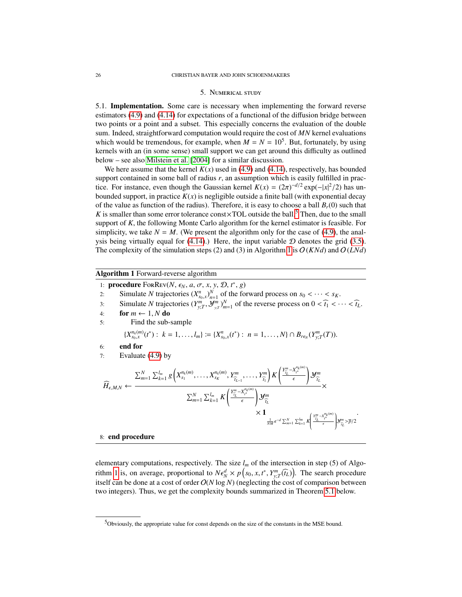#### 5. Numerical study

<span id="page-25-0"></span>5.1. Implementation. Some care is necessary when implementing the forward reverse estimators [\(4.9\)](#page-19-3) and [\(4.14\)](#page-21-1) for expectations of a functional of the diffusion bridge between two points or a point and a subset. This especially concerns the evaluation of the double sum. Indeed, straightforward computation would require the cost of *MN* kernel evaluations which would be tremendous, for example, when  $M = N = 10^5$ . But, fortunately, by using kernels with an (in some sense) small support we can get around this difficulty as outlined below – see also [Milstein et al.](#page-29-12) [\[2004\]](#page-29-12) for a similar discussion.

We here assume that the kernel  $K(x)$  used in [\(4.9\)](#page-19-3) and [\(4.14\)](#page-21-1), respectively, has bounded support contained in some ball of radius *r*, an assumption which is easily fulfilled in practice. For instance, even though the Gaussian kernel  $K(x) = (2\pi)^{-d/2} \exp(-|x|^2/2)$  has un-<br>hounded support in practice  $K(x)$  is negligible outside a finite ball (with exponential decay bounded support, in practice  $K(x)$  is negligible outside a finite ball (with exponential decay of the value as function of the radius). Therefore, it is easy to choose a ball  $B_r(0)$  such that *K* is smaller than some error tolerance const $\times$ TOL outside the ball.<sup>[5](#page-25-1)</sup> Then, due to the small support of *<sup>K</sup>*, the following Monte Carlo algorithm for the kernel estimator is feasible. For simplicity, we take  $N = M$ . (We present the algorithm only for the case of [\(4.9\)](#page-19-3), the analysis being virtually equal for  $(4.14)$ .) Here, the input variable  $D$  denotes the grid [\(3.5\)](#page-6-2). The complexity of the simulation steps (2) and (3) in Algorithm [1](#page-25-2) is  $O(KNd)$  and  $O(LNd)$ 

# <span id="page-25-2"></span>Algorithm 1 Forward-reverse algorithm

- 1: **procedure** For Rev(*N*,  $\epsilon_N$ , *a*,  $\sigma$ , *x*, *y*, *D*,  $t^*$ , *g*)<br>2: Simulate *N* trajectories  $(X^n | N)$  of the fo
- 2: Simulate *N* trajectories  $(X_{n_0,x}^n)_{n=1}^N$  of the forward process on  $s_0 < \cdots < s_K$ .<br>
Simulate *N* trajectories  $(X_m^n)_{m \in \mathbb{N}}^N$  of the reverse process on  $0 < \hat{x} < \hat{y}$ .
- Simulate *N* trajectories  $(X_{s_0,x}^m)_{n=1}^m$  of the reverse process on  $0 < \widehat{t_1} < \cdots < \widehat{t_L}$ .<br>
for  $m \neq 1$  *N* do
- 4: **for**  $m \leftarrow 1, N$  **do**<br>5: **Find** the sub-
- 5: Find the sub-sample

$$
\{X_{s_0,x}^{n_k(m)}(t^*) : k = 1,\ldots,l_m\} := \{X_{s_0,x}^n(t^*) : n = 1,\ldots,N\} \cap B_{r\epsilon_N}(Y_{y,T}^m(T)).
$$

6: end for

7: Evaluate [\(4.9\)](#page-19-3) by

$$
\widehat{H}_{\epsilon,M,N} \leftarrow \frac{\sum_{m=1}^{N} \sum_{k=1}^{l_m} g\left(X_{s_1}^{n_k(m)},\ldots,X_{s_K}^{n_k(m)},Y_{\widehat{l}_{L-1}}^m,\ldots,Y_{\widehat{l}_1}^m\right) K\left(\frac{Y_{\widehat{l}_{L}}^m - X_{\widehat{l}}^{n_k(m)}}{\epsilon}\right) \mathcal{Y}_{\widehat{l}_{L}}^m}{\sum_{m=1}^{N} \sum_{k=1}^{l_m} K\left(\frac{Y_{\widehat{l}_{L}}^m - X_{\widehat{l}}^{n_k(m)}}{\epsilon}\right) \mathcal{Y}_{\widehat{l}_{L}}^m} \times \sum_{\frac{1}{NM}\epsilon^{-d} \sum_{m=1}^{N} \sum_{k=1}^{l_m} K\left(\frac{Y_{\widehat{l}_{L}}^m - X_{\widehat{l}}^{n_k(m)}}{\epsilon}\right) \mathcal{Y}_{\widehat{l}_{L}}^m}{\sum_{\frac{1}{NM}\epsilon^{-d} \sum_{m=1}^{N} \sum_{k=1}^{l_m} K\left(\frac{Y_{\widehat{l}_{L}}^m - X_{\widehat{l}}^{n_k(m)}}{\epsilon}\right) \mathcal{Y}_{\widehat{l}_{L}}^m} \times \sum_{\frac{1}{NM}\epsilon^{-d} \sum_{m=1}^{N} \sum_{k=1}^{l_m} K\left(\frac{Y_{\widehat{l}_{L}}^m - X_{\widehat{l}_{L}}^{n_k(m)}}{\epsilon}\right) \mathcal{Y}_{\widehat{l}_{L}}^m}{\sum_{\frac{1}{NM}\epsilon^{-d} \sum_{m=1}^{N} \sum_{k=1}^{l_m} K\left(\frac{Y_{\widehat{l}_{L}}^m - X_{\widehat{l}_{L}}^{n_k(m)}}{\epsilon}\right) \mathcal{Y}_{\widehat{l}_{L}}^m} \times \sum_{\frac{1}{NM}\epsilon^{-d} \sum_{m=1}^{N} K\left(\frac{Y_{\widehat{l}_{L}}^m - X_{\widehat{l}_{L}}^{n_k(m)}}{\epsilon}\right) \mathcal{Y}_{\widehat{l}_{L}}^m}{\sum_{\frac{1}{NM}\epsilon^{-d} \sum_{m=1}^{N} \sum_{k=1}^{l_m} K\left(\frac{Y_{\widehat{l}_{L}}^m - X_{\widehat{l}_{L}}^{n_k(m)}}{\epsilon}\right) \mathcal{Y}_{\widehat{l}_{L}}^m} \times \sum_{\frac{1}{NM}\epsilon^{-d} \sum_{m=1}^{
$$

#### 8: end procedure

elementary computations, respectively. The size  $l_m$  of the intersection in step (5) of Algo-rithm [1](#page-25-2) is, on average, proportional to  $N\epsilon_N^d \times p(s_0, x, t^*, Y_{y,T}^m(\widehat{t_L}))$ . The search procedure<br>itself can be done at a cost of order  $O(N \log N)$  (peglecting the cost of comparison between itself can be done at a cost of order  $O(N \log N)$  (neglecting the cost of comparison between two integers). Thus, we get the complexity bounds summarized in Theorem [5.1](#page-26-0) below.

<span id="page-25-1"></span> $5$ Obviously, the appropriate value for const depends on the size of the constants in the MSE bound.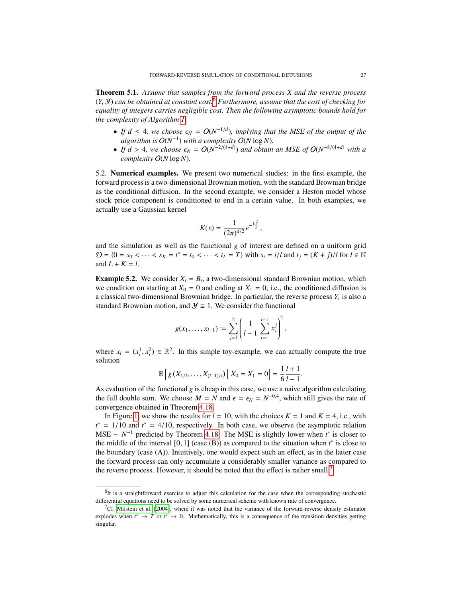<span id="page-26-0"></span>Theorem 5.1. *Assume that samples from the forward process X and the reverse process* (*Y*, <sup>Y</sup>) *can be obtained at constant cost.*[6](#page-26-1) *Furthermore, assume that the cost of checking for equality of integers carries negligible cost. Then the following asymptotic bounds hold for the complexity of Algorithm [1.](#page-25-2)*

- If  $d \leq 4$ , we choose  $\epsilon_N = O(N^{-1/d})$ , implying that the MSE of the output of the algorithm is  $O(N^{-1})$  with a complexity  $O(N \log N)$ *algorithm is*  $O(N^{-1})$  *with a complexity*  $O(N \log N)$ *.*
- *If d* > 4*, we choose*  $\epsilon_N = O(N^{-2/(4+d)})$  *and obtain an MSE of*  $O(N^{-8/(4+d)})$  *with a complexity*  $O(N \log N)$ *complexity* O(*N* log *N*)*.*

5.2. Numerical examples. We present two numerical studies: in the first example, the forward process is a two-dimensional Brownian motion, with the standard Brownian bridge as the conditional diffusion. In the second example, we consider a Heston model whose stock price component is conditioned to end in a certain value. In both examples, we actually use a Gaussian kernel

$$
K(x) = \frac{1}{(2\pi)^{d/2}} e^{-\frac{|x|^2}{2}},
$$

and the simulation as well as the functional *g* of interest are defined on a uniform grid  $\mathcal{D} = \{0 = s_0 < \cdots < s_K = t^* = t_0 < \cdots < t_L = T\}$  with  $s_i = i/l$  and  $t_j = (K + j)/l$  for  $l \in \mathbb{N}$ and  $L + K = l$ .

<span id="page-26-3"></span>**Example 5.2.** We consider  $X_t = B_t$ , a two-dimensional standard Brownian motion, which we condition on starting at  $X_0 = 0$  and ending at  $X_1 = 0$ , i.e., the conditioned diffusion is a classical two-dimensional Brownian bridge. In particular, the reverse process  $Y_t$  is also a standard Brownian motion, and  $\mathcal{Y} \equiv 1$ . We consider the functional

$$
g(x_1,\ldots,x_{l-1})\coloneqq \sum_{j=1}^2\left(\frac{1}{l-1}\sum_{i=1}^{l-1}x_i^j\right)^2,
$$

where  $x_i = (x_i^1, x_i^2) \in \mathbb{R}^2$ . In this simple toy-example, we can actually compute the true solution solution

$$
\mathbb{E}\left[g\left(X_{1/l},\ldots,X_{(l-1)/l}\right)\big| \ X_0 = X_1 = 0\right] = \frac{1}{6}\frac{l+1}{l-1}.
$$

As evaluation of the functional *g* is cheap in this case, we use a naive algorithm calculating the full double sum. We choose  $M = N$  and  $\epsilon = \epsilon_N = N^{-0.4}$ , which still gives the rate of convergence obtained in Theorem 4.18 convergence obtained in Theorem [4.18.](#page-19-4)

In Figure [1,](#page-27-0) we show the results for  $l = 10$ , with the choices  $K = 1$  and  $K = 4$ , i.e., with  $t^* = 1/10$  and  $t^* = 4/10$ , respectively. In both case, we observe the asymptotic relation MSE  $\approx N^{-1}$  predicted by Theorem 4.18. The MSE is slightly lower when  $t^*$  is closer to MSE ~  $N^{-1}$  predicted by Theorem [4.18.](#page-19-4) The MSE is slightly lower when  $t^*$  is closer to the middle of the interval  $[0, 1]$  (case  $(B)$ ) as compared to the situation when  $t^*$  is close to the houndary (case  $(A)$ ). Intuitively, one would expect such an effect as in the latter case the boundary (case (A)). Intuitively, one would expect such an effect, as in the latter case the forward process can only accumulate a considerably smaller variance as compared to the reverse process. However, it should be noted that the effect is rather small.<sup>[7](#page-26-2)</sup>

<span id="page-26-1"></span> $<sup>6</sup>$ It is a straightforward exercise to adjust this calculation for the case when the corresponding stochastic</sup> differential equations need to be solved by some numerical scheme with known rate of convergence.

<span id="page-26-2"></span> $7^{\circ}$ Cf. [Milstein et al.](#page-29-12) [\[2004\]](#page-29-12), where it was noted that the variance of the forward-reverse density estimator explodes when  $t^* \to T$  or  $t^* \to 0$ . Mathematically, this is a consequence of the transition densities getting singular.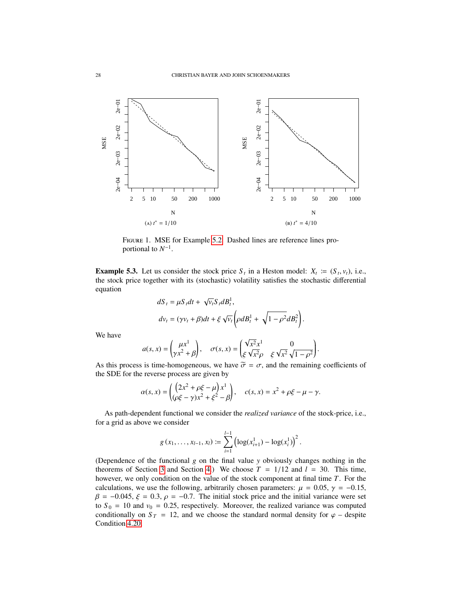<span id="page-27-0"></span>

Figure 1. MSE for Example [5.2.](#page-26-3) Dashed lines are reference lines proportional to  $N^{-1}$ .

<span id="page-27-1"></span>**Example 5.3.** Let us consider the stock price  $S_t$  in a Heston model:  $X_t := (S_t, v_t)$ , i.e., the stock price together with its (stochastic) volatility satisfies the stochastic differential the stock price together with its (stochastic) volatility satisfies the stochastic differential equation

$$
dS_t = \mu S_t dt + \sqrt{\nu_t} S_t dB_t^1,
$$
  
\n
$$
dv_t = (\gamma \nu_t + \beta) dt + \xi \sqrt{\nu_t} \left( \rho dB_t^1 + \sqrt{1 - \rho^2} dB_t^2 \right).
$$

We have

$$
a(s, x) = \begin{pmatrix} \mu x^1 \\ \gamma x^2 + \beta \end{pmatrix}, \quad \sigma(s, x) = \begin{pmatrix} \sqrt{x^2} x^1 & 0 \\ \xi \sqrt{x^2} \rho & \xi \sqrt{x^2} \sqrt{1 - \rho^2} \end{pmatrix}.
$$

As this process is time-homogeneous, we have  $\tilde{\sigma} = \sigma$ , and the remaining coefficients of the SDE for the reverse process are given by the SDE for the reverse process are given by

$$
\alpha(s, x) = \left( \frac{(2x^2 + \rho \xi - \mu) x^1}{(\rho \xi - \gamma) x^2 + \xi^2 - \beta} \right), \quad c(s, x) = x^2 + \rho \xi - \mu - \gamma.
$$

As path-dependent functional we consider the *realized variance* of the stock-price, i.e., for a grid as above we consider

$$
g(x_1,\ldots,x_{l-1},x_l) \coloneqq \sum_{i=1}^{l-1} \left(\log(x_{i+1}^1) - \log(x_i^1)\right)^2.
$$

(Dependence of the functional *g* on the final value *y* obviously changes nothing in the theorems of Section [3](#page-5-0) and Section [4.](#page-10-0)) We choose  $T = 1/12$  and  $l = 30$ . This time, however, we only condition on the value of the stock component at final time *T*. For the calculations, we use the following, arbitrarily chosen parameters:  $\mu = 0.05$ ,  $\gamma = -0.15$ ,  $\beta$  = -0.045,  $\xi$  = 0.3,  $\rho$  = -0.7. The initial stock price and the initial variance were set to  $S_0 = 10$  and  $v_0 = 0.25$ , respectively. Moreover, the realized variance was computed conditionally on  $S_T = 12$ , and we choose the standard normal density for  $\varphi$  – despite Condition [4.20.](#page-21-2)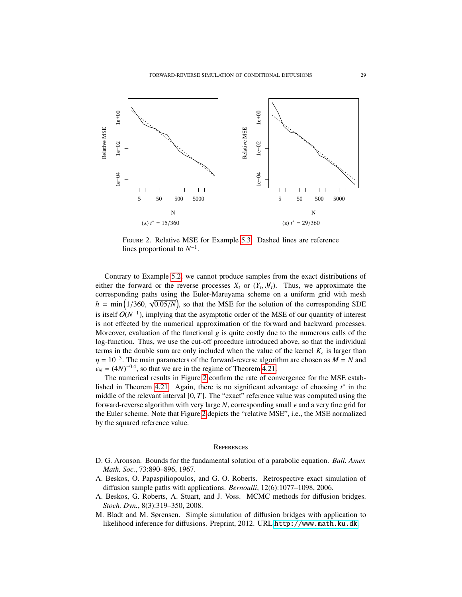<span id="page-28-4"></span>

Figure 2. Relative MSE for Example [5.3.](#page-27-1) Dashed lines are reference lines proportional to  $N^{-1}$ .

Contrary to Example [5.2,](#page-26-3) we cannot produce samples from the exact distributions of either the forward or the reverse processes  $X_t$  or  $(Y_t, Y_t)$ . Thus, we approximate the corresponding paths using the Euler-Maruyama scheme on a uniform grid with mesh corresponding paths using the Euler-Maruyama scheme on a uniform grid with mesh  $h = \min\left(1/360, \sqrt{0.05/N}\right)$ , so that the MSE for the solution of the corresponding SDE is itself  $O(N^{-1})$ , implying that the asymptotic order of the MSE of our quantity of interest is not effected by the numerical approximation of the forward and backward processes. Moreover, evaluation of the functional  $g$  is quite costly due to the numerous calls of the log-function. Thus, we use the cut-off procedure introduced above, so that the individual terms in the double sum are only included when the value of the kernel  $K_{\epsilon}$  is larger than  $m = 10^{-3}$ . The main narameters of the forward reverse electricity are chosen as  $M = N$  and  $\eta = 10^{-3}$ . The main parameters of the forward-reverse algorithm are chosen as  $M = N$  and  $\epsilon_{V} = (4N)^{-0.4}$  so that we are in the regime of Theorem 4.21  $\epsilon_N = (4N)^{-0.4}$ , so that we are in the regime of Theorem [4.21.](#page-22-2)<br>The numerical results in Figure 2 confirm the rate of con-

The numerical results in Figure [2](#page-28-4) confirm the rate of convergence for the MSE estab-lished in Theorem [4.21.](#page-22-2) Again, there is no significant advantage of choosing  $t^*$  in the middle of the relevant interval [0, *<sup>T</sup>*]. The "exact" reference value was computed using the forward-reverse algorithm with very large *N*, corresponding small  $\epsilon$  and a very fine grid for the Euler scheme. Note that Figure [2](#page-28-4) depicts the "relative MSE", i.e., the MSE normalized by the squared reference value.

### **REFERENCES**

- <span id="page-28-3"></span>D. G. Aronson. Bounds for the fundamental solution of a parabolic equation. *Bull. Amer. Math. Soc.*, 73:890–896, 1967.
- <span id="page-28-1"></span>A. Beskos, O. Papaspiliopoulos, and G. O. Roberts. Retrospective exact simulation of diffusion sample paths with applications. *Bernoulli*, 12(6):1077–1098, 2006.
- <span id="page-28-2"></span>A. Beskos, G. Roberts, A. Stuart, and J. Voss. MCMC methods for diffusion bridges. *Stoch. Dyn.*, 8(3):319–350, 2008.
- <span id="page-28-0"></span>M. Bladt and M. Sørensen. Simple simulation of diffusion bridges with application to likelihood inference for diffusions. Preprint, 2012. URL <http://www.math.ku.dk>.